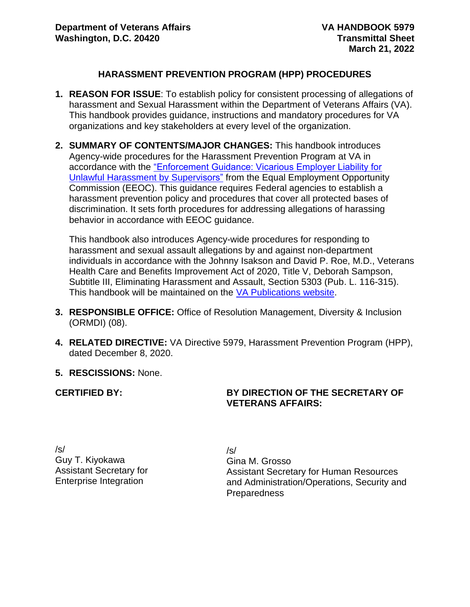#### **HARASSMENT PREVENTION PROGRAM (HPP) PROCEDURES**

- **1. REASON FOR ISSUE**: To establish policy for consistent processing of allegations of harassment and Sexual Harassment within the Department of Veterans Affairs (VA). This handbook provides guidance, instructions and mandatory procedures for VA organizations and key stakeholders at every level of the organization.
- **2. SUMMARY OF CONTENTS/MAJOR CHANGES:** This handbook introduces Agency-wide procedures for the Harassment Prevention Program at VA in accordance with the ["Enforcement Guidance: Vicarious Employer Liability for](https://www.eeoc.gov/laws/guidance/enforcement-guidance-vicarious-liability-unlawful-harassment-supervisors)  [Unlawful Harassment by Supervisors"](https://www.eeoc.gov/laws/guidance/enforcement-guidance-vicarious-liability-unlawful-harassment-supervisors) from the Equal Employment Opportunity Commission (EEOC). This guidance requires Federal agencies to establish a harassment prevention policy and procedures that cover all protected bases of discrimination. It sets forth procedures for addressing allegations of harassing behavior in accordance with EEOC guidance.

This handbook also introduces Agency-wide procedures for responding to harassment and sexual assault allegations by and against non-department individuals in accordance with the Johnny Isakson and David P. Roe, M.D., Veterans Health Care and Benefits Improvement Act of 2020, Title V, Deborah Sampson, Subtitle III, Eliminating Harassment and Assault, Section 5303 (Pub. L. 116-315). This handbook will be maintained on the [VA Publications website.](https://vaww.va.gov/vapubs/search_action.cfm?dType=1)

- **3. RESPONSIBLE OFFICE:** Office of Resolution Management, Diversity & Inclusion (ORMDI) (08).
- **4. RELATED DIRECTIVE:** VA Directive 5979, Harassment Prevention Program (HPP), dated December 8, 2020.
- **5. RESCISSIONS:** None.

**CERTIFIED BY:** 

#### **BY DIRECTION OF THE SECRETARY OF VETERANS AFFAIRS:**

/s/ Guy T. Kiyokawa Assistant Secretary for Enterprise Integration

/s/ Gina M. Grosso Assistant Secretary for Human Resources and Administration/Operations, Security and Preparedness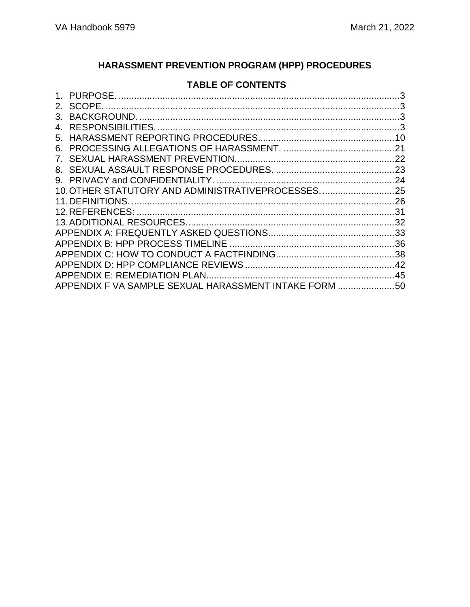# **HARASSMENT PREVENTION PROGRAM (HPP) PROCEDURES**

### **TABLE OF CONTENTS**

| 3.      |                                                       |     |
|---------|-------------------------------------------------------|-----|
|         |                                                       |     |
| 5.      |                                                       |     |
| 6.      |                                                       |     |
| $7_{-}$ |                                                       |     |
| 8.      |                                                       |     |
|         |                                                       |     |
|         | 10. OTHER STATUTORY AND ADMINISTRATIVEPROCESSES. 25   |     |
|         |                                                       | .26 |
|         |                                                       |     |
|         |                                                       |     |
|         |                                                       |     |
|         |                                                       |     |
|         |                                                       |     |
|         |                                                       |     |
|         |                                                       |     |
|         | APPENDIX F VA SAMPLE SEXUAL HARASSMENT INTAKE FORM 50 |     |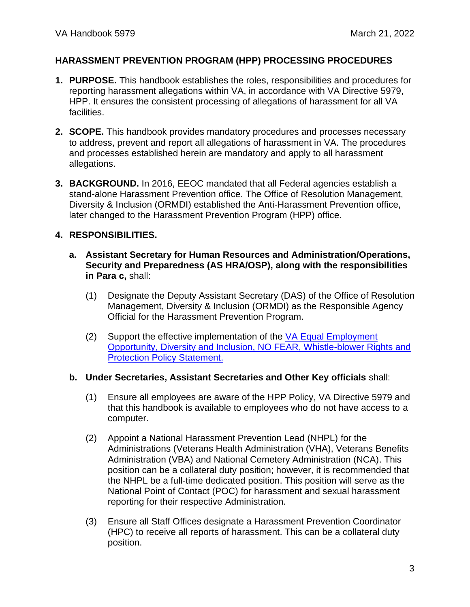#### **HARASSMENT PREVENTION PROGRAM (HPP) PROCESSING PROCEDURES**

- <span id="page-2-0"></span>**1. PURPOSE.** This handbook establishes the roles, responsibilities and procedures for reporting harassment allegations within VA, in accordance with VA Directive 5979, HPP. It ensures the consistent processing of allegations of harassment for all VA facilities.
- <span id="page-2-1"></span>**2. SCOPE.** This handbook provides mandatory procedures and processes necessary to address, prevent and report all allegations of harassment in VA. The procedures and processes established herein are mandatory and apply to all harassment allegations.
- <span id="page-2-2"></span>**3. BACKGROUND.** In 2016, EEOC mandated that all Federal agencies establish a stand-alone Harassment Prevention office. The Office of Resolution Management, Diversity & Inclusion (ORMDI) established the Anti-Harassment Prevention office, later changed to the Harassment Prevention Program (HPP) office.

#### <span id="page-2-3"></span>**4. RESPONSIBILITIES.**

- **a. Assistant Secretary for Human Resources and Administration/Operations, Security and Preparedness (AS HRA/OSP), along with the responsibilities in Para c,** shall:
	- (1) Designate the Deputy Assistant Secretary (DAS) of the Office of Resolution Management, Diversity & Inclusion (ORMDI) as the Responsible Agency Official for the Harassment Prevention Program.
	- (2) Support the effective implementation of the VA Equal Employment [Opportunity, Diversity and Inclusion, NO FEAR, Whistle-blower Rights and](https://www.va.gov/ORMDI/docs/EEO_Policy.pdf)  [Protection Policy Statement.](https://www.va.gov/ORMDI/docs/EEO_Policy.pdf)

#### **b. Under Secretaries, Assistant Secretaries and Other Key officials** shall:

- (1) Ensure all employees are aware of the HPP Policy, VA Directive 5979 and that this handbook is available to employees who do not have access to a computer.
- (2) Appoint a National Harassment Prevention Lead (NHPL) for the Administrations (Veterans Health Administration (VHA), Veterans Benefits Administration (VBA) and National Cemetery Administration (NCA). This position can be a collateral duty position; however, it is recommended that the NHPL be a full-time dedicated position. This position will serve as the National Point of Contact (POC) for harassment and sexual harassment reporting for their respective Administration.
- (3) Ensure all Staff Offices designate a Harassment Prevention Coordinator (HPC) to receive all reports of harassment. This can be a collateral duty position.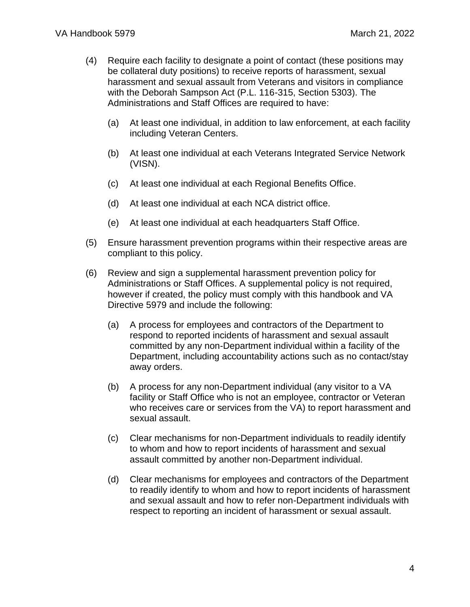- (4) Require each facility to designate a point of contact (these positions may be collateral duty positions) to receive reports of harassment, sexual harassment and sexual assault from Veterans and visitors in compliance with the Deborah Sampson Act (P.L. 116-315, Section 5303). The Administrations and Staff Offices are required to have:
	- (a) At least one individual, in addition to law enforcement, at each facility including Veteran Centers.
	- (b) At least one individual at each Veterans Integrated Service Network (VISN).
	- (c) At least one individual at each Regional Benefits Office.
	- (d) At least one individual at each NCA district office.
	- (e) At least one individual at each headquarters Staff Office.
- (5) Ensure harassment prevention programs within their respective areas are compliant to this policy.
- (6) Review and sign a supplemental harassment prevention policy for Administrations or Staff Offices. A supplemental policy is not required, however if created, the policy must comply with this handbook and VA Directive 5979 and include the following:
	- (a) A process for employees and contractors of the Department to respond to reported incidents of harassment and sexual assault committed by any non-Department individual within a facility of the Department, including accountability actions such as no contact/stay away orders.
	- (b) A process for any non-Department individual (any visitor to a VA facility or Staff Office who is not an employee, contractor or Veteran who receives care or services from the VA) to report harassment and sexual assault.
	- (c) Clear mechanisms for non-Department individuals to readily identify to whom and how to report incidents of harassment and sexual assault committed by another non-Department individual.
	- (d) Clear mechanisms for employees and contractors of the Department to readily identify to whom and how to report incidents of harassment and sexual assault and how to refer non-Department individuals with respect to reporting an incident of harassment or sexual assault.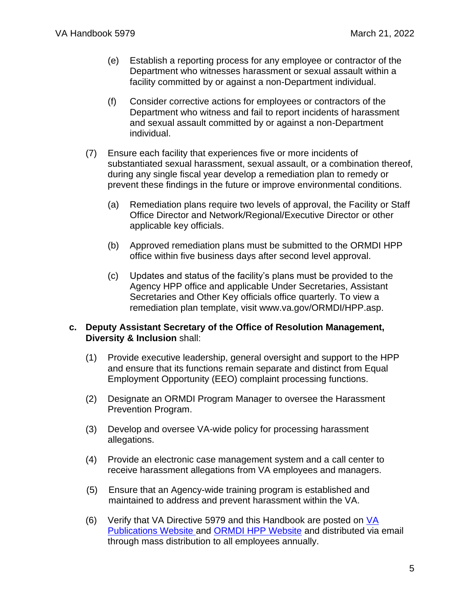- (e) Establish a reporting process for any employee or contractor of the Department who witnesses harassment or sexual assault within a facility committed by or against a non-Department individual.
- (f) Consider corrective actions for employees or contractors of the Department who witness and fail to report incidents of harassment and sexual assault committed by or against a non-Department individual.
- (7) Ensure each facility that experiences five or more incidents of substantiated sexual harassment, sexual assault, or a combination thereof, during any single fiscal year develop a remediation plan to remedy or prevent these findings in the future or improve environmental conditions.
	- (a) Remediation plans require two levels of approval, the Facility or Staff Office Director and Network/Regional/Executive Director or other applicable key officials.
	- (b) Approved remediation plans must be submitted to the ORMDI HPP office within five business days after second level approval.
	- (c) Updates and status of the facility's plans must be provided to the Agency HPP office and applicable Under Secretaries, Assistant Secretaries and Other Key officials office quarterly. To view a remediation plan template, visit www.va.gov/ORMDI/HPP.asp.

#### **c. Deputy Assistant Secretary of the Office of Resolution Management, Diversity & Inclusion** shall:

- (1) Provide executive leadership, general oversight and support to the HPP and ensure that its functions remain separate and distinct from Equal Employment Opportunity (EEO) complaint processing functions.
- (2) Designate an ORMDI Program Manager to oversee the Harassment Prevention Program.
- (3) Develop and oversee VA-wide policy for processing harassment allegations.
- (4) Provide an electronic case management system and a call center to receive harassment allegations from VA employees and managers.
- (5) Ensure that an Agency-wide training program is established and maintained to address and prevent harassment within the VA.
- (6) Verify that VA Directive 5979 and this Handbook are posted on [VA](https://vaww.va.gov/vapubs/search_action.cfm?dType=1)  [Publications Website](https://vaww.va.gov/vapubs/search_action.cfm?dType=1) and [ORMDI HPP Website](https://www.va.gov/ORMDI/HPP.asp) and distributed via email through mass distribution to all employees annually.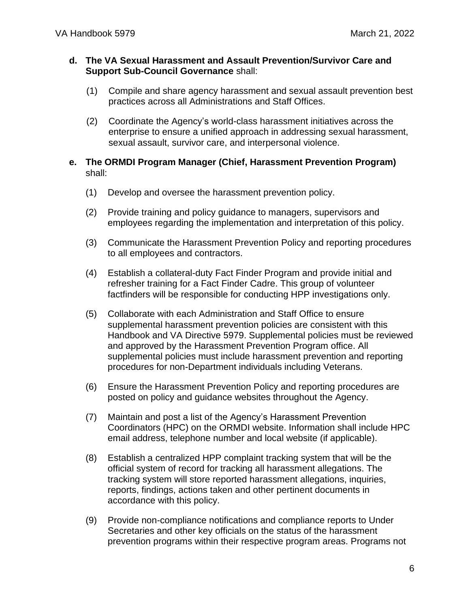#### **d. The VA Sexual Harassment and Assault Prevention/Survivor Care and Support Sub-Council Governance** shall:

- (1) Compile and share agency harassment and sexual assault prevention best practices across all Administrations and Staff Offices.
- (2) Coordinate the Agency's world-class harassment initiatives across the enterprise to ensure a unified approach in addressing sexual harassment, sexual assault, survivor care, and interpersonal violence.
- **e. The ORMDI Program Manager (Chief, Harassment Prevention Program)**  shall:
	- (1) Develop and oversee the harassment prevention policy.
	- (2) Provide training and policy guidance to managers, supervisors and employees regarding the implementation and interpretation of this policy.
	- (3) Communicate the Harassment Prevention Policy and reporting procedures to all employees and contractors.
	- (4) Establish a collateral-duty Fact Finder Program and provide initial and refresher training for a Fact Finder Cadre. This group of volunteer factfinders will be responsible for conducting HPP investigations only.
	- (5) Collaborate with each Administration and Staff Office to ensure supplemental harassment prevention policies are consistent with this Handbook and VA Directive 5979. Supplemental policies must be reviewed and approved by the Harassment Prevention Program office. All supplemental policies must include harassment prevention and reporting procedures for non-Department individuals including Veterans.
	- (6) Ensure the Harassment Prevention Policy and reporting procedures are posted on policy and guidance websites throughout the Agency.
	- (7) Maintain and post a list of the Agency's Harassment Prevention Coordinators (HPC) on the ORMDI website. Information shall include HPC email address, telephone number and local website (if applicable).
	- (8) Establish a centralized HPP complaint tracking system that will be the official system of record for tracking all harassment allegations. The tracking system will store reported harassment allegations, inquiries, reports, findings, actions taken and other pertinent documents in accordance with this policy.
	- (9) Provide non-compliance notifications and compliance reports to Under Secretaries and other key officials on the status of the harassment prevention programs within their respective program areas. Programs not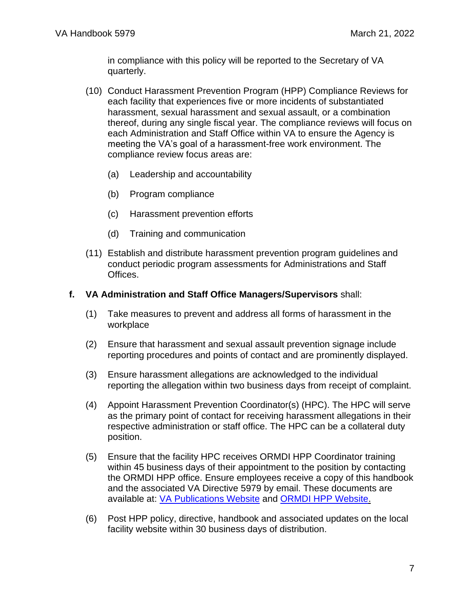in compliance with this policy will be reported to the Secretary of VA quarterly.

- (10) Conduct Harassment Prevention Program (HPP) Compliance Reviews for each facility that experiences five or more incidents of substantiated harassment, sexual harassment and sexual assault, or a combination thereof, during any single fiscal year. The compliance reviews will focus on each Administration and Staff Office within VA to ensure the Agency is meeting the VA's goal of a harassment-free work environment. The compliance review focus areas are:
	- (a) Leadership and accountability
	- (b) Program compliance
	- (c) Harassment prevention efforts
	- (d) Training and communication
- (11) Establish and distribute harassment prevention program guidelines and conduct periodic program assessments for Administrations and Staff Offices.

#### **f. VA Administration and Staff Office Managers/Supervisors** shall:

- (1) Take measures to prevent and address all forms of harassment in the workplace
- (2) Ensure that harassment and sexual assault prevention signage include reporting procedures and points of contact and are prominently displayed.
- (3) Ensure harassment allegations are acknowledged to the individual reporting the allegation within two business days from receipt of complaint.
- (4) Appoint Harassment Prevention Coordinator(s) (HPC). The HPC will serve as the primary point of contact for receiving harassment allegations in their respective administration or staff office. The HPC can be a collateral duty position.
- (5) Ensure that the facility HPC receives ORMDI HPP Coordinator training within 45 business days of their appointment to the position by contacting the ORMDI HPP office. Ensure employees receive a copy of this handbook and the associated VA Directive 5979 by email. These documents are available at: [VA Publications Website](https://vaww.va.gov/vapubs/search_action.cfm?dType=1) and [ORMDI HPP Website.](http://www.va.gov/ORMDI/HPP.asp)
- (6) Post HPP policy, directive, handbook and associated updates on the local facility website within 30 business days of distribution.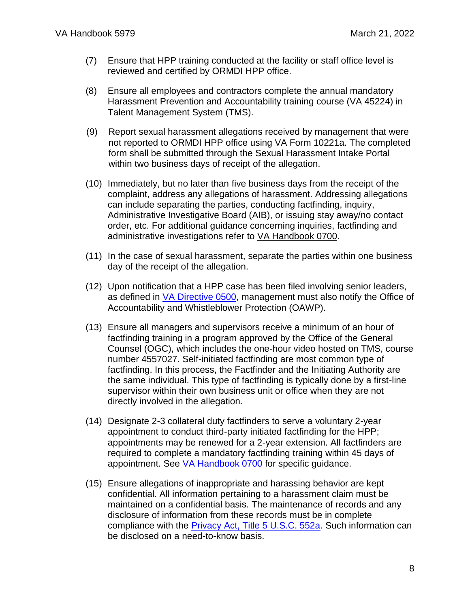- (7) Ensure that HPP training conducted at the facility or staff office level is reviewed and certified by ORMDI HPP office.
- (8) Ensure all employees and contractors complete the annual mandatory Harassment Prevention and Accountability training course (VA 45224) in Talent Management System (TMS).
- (9) Report sexual harassment allegations received by management that were not reported to ORMDI HPP office using VA Form 10221a. The completed form shall be submitted through the Sexual Harassment Intake Portal within two business days of receipt of the allegation.
- (10) Immediately, but no later than five business days from the receipt of the complaint, address any allegations of harassment. Addressing allegations can include separating the parties, conducting factfinding, inquiry, Administrative Investigative Board (AIB), or issuing stay away/no contact order, etc. For additional guidance concerning inquiries, factfinding and administrative investigations refer to [VA Handbook 0700.](https://www.va.gov/ogc/investigations.asp)
- (11) In the case of sexual harassment, separate the parties within one business day of the receipt of the allegation.
- (12) Upon notification that a HPP case has been filed involving senior leaders, as defined in [VA Directive 0500,](https://www.va.gov/vapubs/search_action.cfm?dType=1) management must also notify the Office of Accountability and Whistleblower Protection (OAWP).
- (13) Ensure all managers and supervisors receive a minimum of an hour of factfinding training in a program approved by the Office of the General Counsel (OGC), which includes the one-hour video hosted on TMS, course number 4557027. Self-initiated factfinding are most common type of factfinding. In this process, the Factfinder and the Initiating Authority are the same individual. This type of factfinding is typically done by a first-line supervisor within their own business unit or office when they are not directly involved in the allegation.
- (14) Designate 2-3 collateral duty factfinders to serve a voluntary 2-year appointment to conduct third-party initiated factfinding for the HPP; appointments may be renewed for a 2-year extension. All factfinders are required to complete a mandatory factfinding training within 45 days of appointment. See [VA Handbook 0700](https://www.va.gov/ogc/investigations.asp) for specific guidance.
- (15) Ensure allegations of inappropriate and harassing behavior are kept confidential. All information pertaining to a harassment claim must be maintained on a confidential basis. The maintenance of records and any disclosure of information from these records must be in complete compliance with the **Privacy Act, Title 5 U.S.C. 552a**. Such information can be disclosed on a need-to-know basis.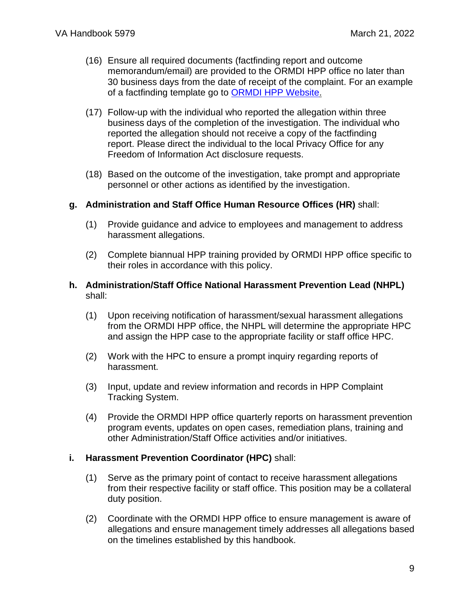- (16) Ensure all required documents (factfinding report and outcome memorandum/email) are provided to the ORMDI HPP office no later than 30 business days from the date of receipt of the complaint. For an example of a factfinding template go to [ORMDI HPP Website.](https://www.va.gov/ORMDI/HPP.asp)
- (17) Follow-up with the individual who reported the allegation within three business days of the completion of the investigation. The individual who reported the allegation should not receive a copy of the factfinding report. Please direct the individual to the local Privacy Office for any Freedom of Information Act disclosure requests.
- (18) Based on the outcome of the investigation, take prompt and appropriate personnel or other actions as identified by the investigation.

#### **g. Administration and Staff Office Human Resource Offices (HR)** shall:

- (1) Provide guidance and advice to employees and management to address harassment allegations.
- (2) Complete biannual HPP training provided by ORMDI HPP office specific to their roles in accordance with this policy.

#### **h. Administration/Staff Office National Harassment Prevention Lead (NHPL)**  shall:

- (1) Upon receiving notification of harassment/sexual harassment allegations from the ORMDI HPP office, the NHPL will determine the appropriate HPC and assign the HPP case to the appropriate facility or staff office HPC.
- (2) Work with the HPC to ensure a prompt inquiry regarding reports of harassment.
- (3) Input, update and review information and records in HPP Complaint Tracking System.
- (4) Provide the ORMDI HPP office quarterly reports on harassment prevention program events, updates on open cases, remediation plans, training and other Administration/Staff Office activities and/or initiatives.

#### **i. Harassment Prevention Coordinator (HPC)** shall:

- (1) Serve as the primary point of contact to receive harassment allegations from their respective facility or staff office. This position may be a collateral duty position.
- (2) Coordinate with the ORMDI HPP office to ensure management is aware of allegations and ensure management timely addresses all allegations based on the timelines established by this handbook.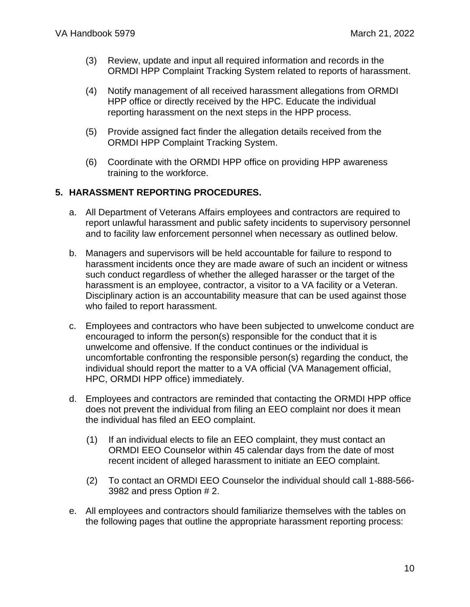- (3) Review, update and input all required information and records in the ORMDI HPP Complaint Tracking System related to reports of harassment.
- (4) Notify management of all received harassment allegations from ORMDI HPP office or directly received by the HPC. Educate the individual reporting harassment on the next steps in the HPP process.
- (5) Provide assigned fact finder the allegation details received from the ORMDI HPP Complaint Tracking System.
- (6) Coordinate with the ORMDI HPP office on providing HPP awareness training to the workforce.

### <span id="page-9-0"></span>**5. HARASSMENT REPORTING PROCEDURES.**

- a. All Department of Veterans Affairs employees and contractors are required to report unlawful harassment and public safety incidents to supervisory personnel and to facility law enforcement personnel when necessary as outlined below.
- b. Managers and supervisors will be held accountable for failure to respond to harassment incidents once they are made aware of such an incident or witness such conduct regardless of whether the alleged harasser or the target of the harassment is an employee, contractor, a visitor to a VA facility or a Veteran. Disciplinary action is an accountability measure that can be used against those who failed to report harassment.
- c. Employees and contractors who have been subjected to unwelcome conduct are encouraged to inform the person(s) responsible for the conduct that it is unwelcome and offensive. If the conduct continues or the individual is uncomfortable confronting the responsible person(s) regarding the conduct, the individual should report the matter to a VA official (VA Management official, HPC, ORMDI HPP office) immediately.
- d. Employees and contractors are reminded that contacting the ORMDI HPP office does not prevent the individual from filing an EEO complaint nor does it mean the individual has filed an EEO complaint.
	- (1) If an individual elects to file an EEO complaint, they must contact an ORMDI EEO Counselor within 45 calendar days from the date of most recent incident of alleged harassment to initiate an EEO complaint.
	- (2) To contact an ORMDI EEO Counselor the individual should call 1-888-566- 3982 and press Option # 2.
- e. All employees and contractors should familiarize themselves with the tables on the following pages that outline the appropriate harassment reporting process: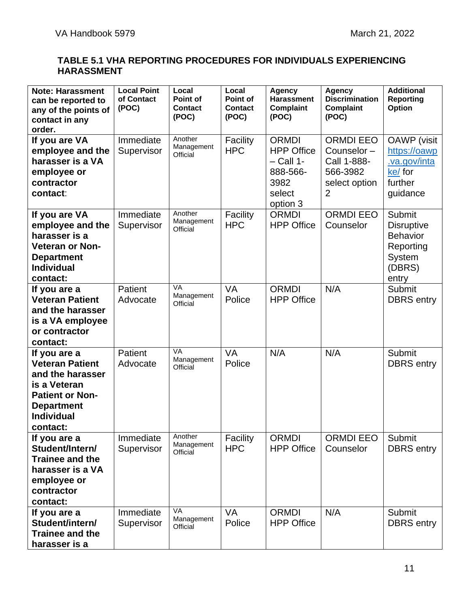### **TABLE 5.1 VHA REPORTING PROCEDURES FOR INDIVIDUALS EXPERIENCING HARASSMENT**

| <b>Note: Harassment</b><br>can be reported to<br>any of the points of<br>contact in any<br>order.                                                          | <b>Local Point</b><br>of Contact<br>(POC) | Local<br>Point of<br><b>Contact</b><br>(POC) | Local<br>Point of<br><b>Contact</b><br>(POC) | <b>Agency</b><br><b>Harassment</b><br><b>Complaint</b><br>(POC)                            | <b>Agency</b><br><b>Discrimination</b><br><b>Complaint</b><br>(POC)             | <b>Additional</b><br><b>Reporting</b><br><b>Option</b>                                          |
|------------------------------------------------------------------------------------------------------------------------------------------------------------|-------------------------------------------|----------------------------------------------|----------------------------------------------|--------------------------------------------------------------------------------------------|---------------------------------------------------------------------------------|-------------------------------------------------------------------------------------------------|
| If you are VA<br>employee and the<br>harasser is a VA<br>employee or<br>contractor<br>contact:                                                             | Immediate<br>Supervisor                   | Another<br>Management<br>Official            | Facility<br><b>HPC</b>                       | <b>ORMDI</b><br><b>HPP Office</b><br>$-$ Call 1-<br>888-566-<br>3982<br>select<br>option 3 | <b>ORMDI EEO</b><br>Counselor-<br>Call 1-888-<br>566-3982<br>select option<br>2 | <b>OAWP</b> (visit<br>https://oawp<br>va.gov/inta<br>ke/ for<br>further<br>guidance             |
| If you are VA<br>employee and the<br>harasser is a<br><b>Veteran or Non-</b><br><b>Department</b><br><b>Individual</b><br>contact:                         | Immediate<br>Supervisor                   | Another<br>Management<br>Official            | Facility<br><b>HPC</b>                       | <b>ORMDI</b><br><b>HPP Office</b>                                                          | <b>ORMDI EEO</b><br>Counselor                                                   | Submit<br><b>Disruptive</b><br><b>Behavior</b><br>Reporting<br><b>System</b><br>(DBRS)<br>entry |
| If you are a<br><b>Veteran Patient</b><br>and the harasser<br>is a VA employee<br>or contractor<br>contact:                                                | Patient<br>Advocate                       | VA<br>Management<br>Official                 | VA<br>Police                                 | <b>ORMDI</b><br><b>HPP Office</b>                                                          | N/A                                                                             | Submit<br><b>DBRS</b> entry                                                                     |
| If you are a<br><b>Veteran Patient</b><br>and the harasser<br>is a Veteran<br><b>Patient or Non-</b><br><b>Department</b><br><b>Individual</b><br>contact: | Patient<br>Advocate                       | VA<br>Management<br>Official                 | VA<br>Police                                 | N/A                                                                                        | N/A                                                                             | <b>Submit</b><br><b>DBRS</b> entry                                                              |
| If you are a<br>Student/Intern/<br><b>Trainee and the</b><br>harasser is a VA<br>employee or<br>contractor<br>contact:                                     | Immediate<br>Supervisor                   | Another<br>Management<br>Official            | Facility<br><b>HPC</b>                       | ORMDI<br><b>HPP Office</b>                                                                 | <b>ORMDI EEO</b><br>Counselor                                                   | Submit<br><b>DBRS</b> entry                                                                     |
| If you are a<br>Student/intern/<br><b>Trainee and the</b><br>harasser is a                                                                                 | Immediate<br>Supervisor                   | VA<br>Management<br>Official                 | VA<br>Police                                 | <b>ORMDI</b><br><b>HPP Office</b>                                                          | N/A                                                                             | Submit<br><b>DBRS</b> entry                                                                     |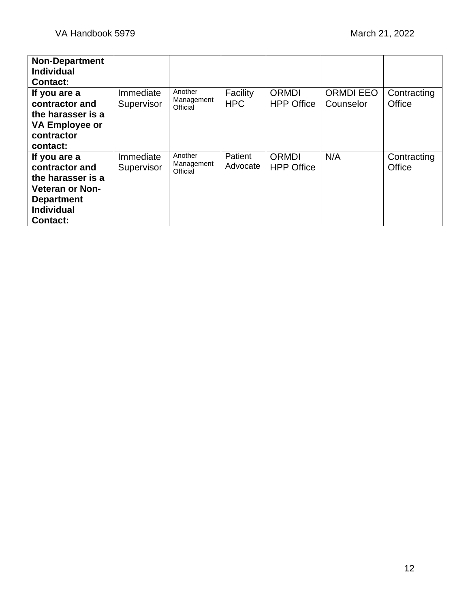| <b>Non-Department</b><br><b>Individual</b><br><b>Contact:</b>                                                                              |                         |                                   |                        |                                   |                               |                       |
|--------------------------------------------------------------------------------------------------------------------------------------------|-------------------------|-----------------------------------|------------------------|-----------------------------------|-------------------------------|-----------------------|
| If you are a<br>contractor and<br>the harasser is a<br><b>VA Employee or</b><br>contractor<br>contact:                                     | Immediate<br>Supervisor | Another<br>Management<br>Official | Facility<br><b>HPC</b> | ORMDI<br><b>HPP Office</b>        | <b>ORMDI EEO</b><br>Counselor | Contracting<br>Office |
| If you are a<br>contractor and<br>the harasser is a<br><b>Veteran or Non-</b><br><b>Department</b><br><b>Individual</b><br><b>Contact:</b> | Immediate<br>Supervisor | Another<br>Management<br>Official | Patient<br>Advocate    | <b>ORMDI</b><br><b>HPP Office</b> | N/A                           | Contracting<br>Office |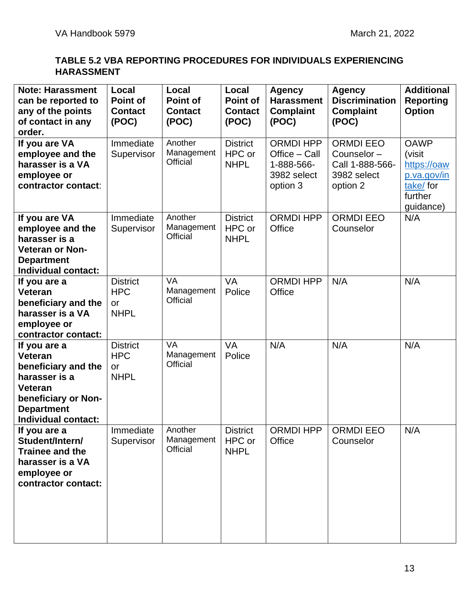### **TABLE 5.2 VBA REPORTING PROCEDURES FOR INDIVIDUALS EXPERIENCING HARASSMENT**

| <b>Note: Harassment</b><br>can be reported to<br>any of the points<br>of contact in any<br>order.                                             | Local<br><b>Point of</b><br><b>Contact</b><br>(POC) | Local<br><b>Point of</b><br><b>Contact</b><br>(POC) | Local<br><b>Point of</b><br><b>Contact</b><br>(POC) | <b>Agency</b><br><b>Harassment</b><br><b>Complaint</b><br>(POC)            | <b>Agency</b><br><b>Discrimination</b><br><b>Complaint</b><br>(POC)          | <b>Additional</b><br><b>Reporting</b><br><b>Option</b>                                  |
|-----------------------------------------------------------------------------------------------------------------------------------------------|-----------------------------------------------------|-----------------------------------------------------|-----------------------------------------------------|----------------------------------------------------------------------------|------------------------------------------------------------------------------|-----------------------------------------------------------------------------------------|
| If you are VA<br>employee and the<br>harasser is a VA<br>employee or<br>contractor contact:                                                   | Immediate<br>Supervisor                             | Another<br>Management<br><b>Official</b>            | <b>District</b><br>HPC or<br><b>NHPL</b>            | <b>ORMDI HPP</b><br>Office - Call<br>1-888-566-<br>3982 select<br>option 3 | <b>ORMDI EEO</b><br>Counselor-<br>Call 1-888-566-<br>3982 select<br>option 2 | <b>OAWP</b><br>(visit<br>https://oaw<br>p.va.gov/in<br>take/for<br>further<br>guidance) |
| If you are VA<br>employee and the<br>harasser is a<br><b>Veteran or Non-</b><br><b>Department</b><br><b>Individual contact:</b>               | Immediate<br>Supervisor                             | Another<br>Management<br><b>Official</b>            | <b>District</b><br>HPC or<br><b>NHPL</b>            | <b>ORMDI HPP</b><br>Office                                                 | <b>ORMDI EEO</b><br>Counselor                                                | N/A                                                                                     |
| If you are a<br>Veteran<br>beneficiary and the<br>harasser is a VA<br>employee or<br>contractor contact:                                      | <b>District</b><br><b>HPC</b><br>or<br><b>NHPL</b>  | <b>VA</b><br>Management<br><b>Official</b>          | <b>VA</b><br>Police                                 | <b>ORMDI HPP</b><br>Office                                                 | N/A                                                                          | N/A                                                                                     |
| If you are a<br>Veteran<br>beneficiary and the<br>harasser is a<br>Veteran<br>beneficiary or Non-<br><b>Department</b><br>Individual contact: | <b>District</b><br><b>HPC</b><br>or<br><b>NHPL</b>  | <b>VA</b><br>Management<br>Official                 | <b>VA</b><br>Police                                 | N/A                                                                        | N/A                                                                          | N/A                                                                                     |
| If you are a<br>Student/Intern/<br>Trainee and the<br>harasser is a VA<br>employee or<br>contractor contact:                                  | Immediate<br>Supervisor                             | Another<br>Management<br>Official                   | <b>District</b><br>HPC or<br><b>NHPL</b>            | ORMDI HPP<br>Office                                                        | ORMDI EEO<br>Counselor                                                       | N/A                                                                                     |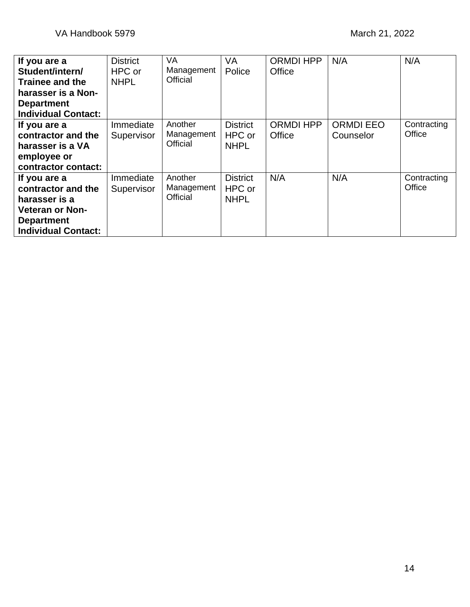| If you are a<br>Student/intern/                                                                                                  | <b>District</b><br>HPC or | <b>VA</b><br>Management           | VA<br>Police                             | <b>ORMDI HPP</b><br>Office | N/A                           | N/A                   |
|----------------------------------------------------------------------------------------------------------------------------------|---------------------------|-----------------------------------|------------------------------------------|----------------------------|-------------------------------|-----------------------|
| <b>Trainee and the</b><br>harasser is a Non-<br><b>Department</b>                                                                | <b>NHPL</b>               | Official                          |                                          |                            |                               |                       |
| <b>Individual Contact:</b>                                                                                                       |                           |                                   |                                          |                            |                               |                       |
| If you are a<br>contractor and the<br>harasser is a VA<br>employee or<br>contractor contact:                                     | Immediate<br>Supervisor   | Another<br>Management<br>Official | <b>District</b><br>HPC or<br><b>NHPL</b> | <b>ORMDI HPP</b><br>Office | <b>ORMDI EEO</b><br>Counselor | Contracting<br>Office |
| If you are a<br>contractor and the<br>harasser is a<br><b>Veteran or Non-</b><br><b>Department</b><br><b>Individual Contact:</b> | Immediate<br>Supervisor   | Another<br>Management<br>Official | <b>District</b><br>HPC or<br><b>NHPL</b> | N/A                        | N/A                           | Contracting<br>Office |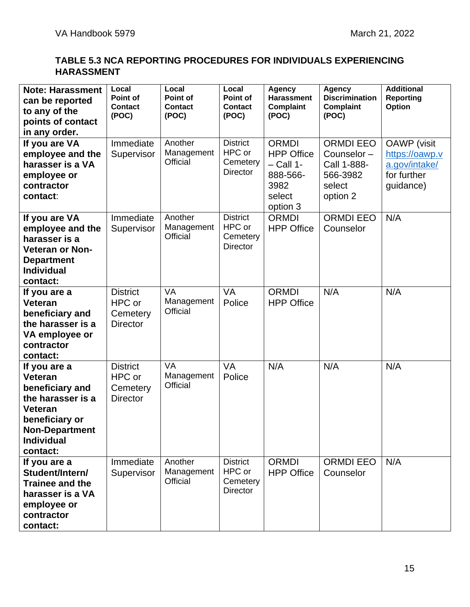### **TABLE 5.3 NCA REPORTING PROCEDURES FOR INDIVIDUALS EXPERIENCING HARASSMENT**

| <b>Note: Harassment</b><br>can be reported<br>to any of the<br>points of contact<br>in any order.                                                             | Local<br>Point of<br><b>Contact</b><br>(POC)             | Local<br>Point of<br><b>Contact</b><br>(POC) | Local<br>Point of<br><b>Contact</b><br>(POC)             | <b>Agency</b><br><b>Harassment</b><br><b>Complaint</b><br>(POC)                            | <b>Agency</b><br><b>Discrimination</b><br>Complaint<br>(POC)                    | <b>Additional</b><br><b>Reporting</b><br><b>Option</b>                            |
|---------------------------------------------------------------------------------------------------------------------------------------------------------------|----------------------------------------------------------|----------------------------------------------|----------------------------------------------------------|--------------------------------------------------------------------------------------------|---------------------------------------------------------------------------------|-----------------------------------------------------------------------------------|
| If you are VA<br>employee and the<br>harasser is a VA<br>employee or<br>contractor<br>contact:                                                                | Immediate<br>Supervisor                                  | Another<br>Management<br><b>Official</b>     | <b>District</b><br>HPC or<br>Cemetery<br><b>Director</b> | <b>ORMDI</b><br><b>HPP Office</b><br>$-$ Call 1-<br>888-566-<br>3982<br>select<br>option 3 | <b>ORMDI EEO</b><br>Counselor-<br>Call 1-888-<br>566-3982<br>select<br>option 2 | <b>OAWP</b> (visit<br>https://oawp.v<br>a.gov/intake/<br>for further<br>quidance) |
| If you are VA<br>employee and the<br>harasser is a<br><b>Veteran or Non-</b><br><b>Department</b><br><b>Individual</b><br>contact:                            | Immediate<br>Supervisor                                  | Another<br>Management<br>Official            | <b>District</b><br>HPC or<br>Cemetery<br><b>Director</b> | <b>ORMDI</b><br><b>HPP Office</b>                                                          | <b>ORMDI EEO</b><br>Counselor                                                   | N/A                                                                               |
| If you are a<br><b>Veteran</b><br>beneficiary and<br>the harasser is a<br>VA employee or<br>contractor<br>contact:                                            | <b>District</b><br>HPC or<br>Cemetery<br><b>Director</b> | <b>VA</b><br>Management<br>Official          | <b>VA</b><br>Police                                      | <b>ORMDI</b><br><b>HPP Office</b>                                                          | N/A                                                                             | N/A                                                                               |
| If you are a<br><b>Veteran</b><br>beneficiary and<br>the harasser is a<br>Veteran<br>beneficiary or<br><b>Non-Department</b><br><b>Individual</b><br>contact: | <b>District</b><br>HPC or<br>Cemetery<br><b>Director</b> | <b>VA</b><br>Management<br>Official          | <b>VA</b><br>Police                                      | N/A                                                                                        | N/A                                                                             | N/A                                                                               |
| If you are a<br>Student/Intern/<br>Trainee and the<br>harasser is a VA<br>employee or<br>contractor<br>contact:                                               | Immediate<br>Supervisor                                  | Another<br>Management<br><b>Official</b>     | <b>District</b><br>HPC or<br>Cemetery<br><b>Director</b> | <b>ORMDI</b><br><b>HPP Office</b>                                                          | <b>ORMDI EEO</b><br>Counselor                                                   | N/A                                                                               |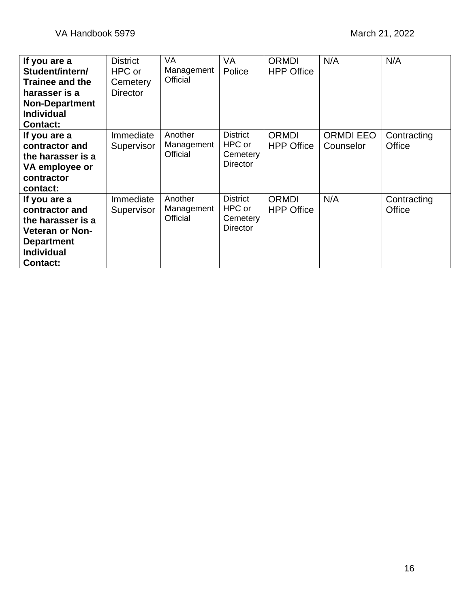| If you are a<br>Student/intern/<br><b>Trainee and the</b><br>harasser is a<br><b>Non-Department</b><br><b>Individual</b><br><b>Contact:</b> | <b>District</b><br>HPC or<br>Cemetery<br><b>Director</b> | <b>VA</b><br>Management<br>Official | VA<br>Police                                             | <b>ORMDI</b><br><b>HPP Office</b> | N/A                           | N/A                   |
|---------------------------------------------------------------------------------------------------------------------------------------------|----------------------------------------------------------|-------------------------------------|----------------------------------------------------------|-----------------------------------|-------------------------------|-----------------------|
| If you are a<br>contractor and<br>the harasser is a<br>VA employee or<br>contractor<br>contact:                                             | Immediate<br>Supervisor                                  | Another<br>Management<br>Official   | <b>District</b><br>HPC or<br>Cemetery<br><b>Director</b> | ORMDI<br><b>HPP Office</b>        | <b>ORMDI EEO</b><br>Counselor | Contracting<br>Office |
| If you are a<br>contractor and<br>the harasser is a<br><b>Veteran or Non-</b><br><b>Department</b><br><b>Individual</b><br><b>Contact:</b>  | Immediate<br>Supervisor                                  | Another<br>Management<br>Official   | <b>District</b><br>HPC or<br>Cemetery<br><b>Director</b> | ORMDI<br><b>HPP Office</b>        | N/A                           | Contracting<br>Office |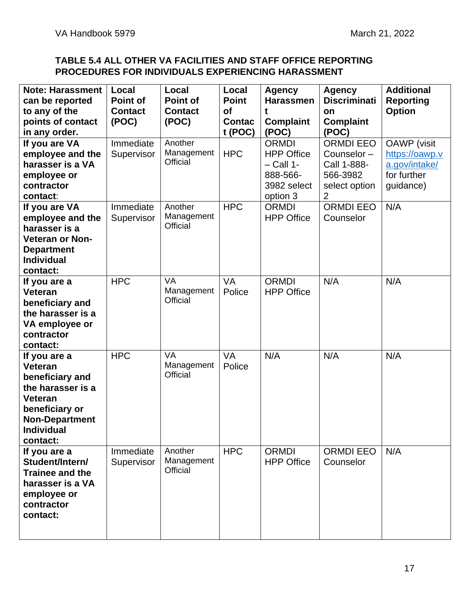### **TABLE 5.4 ALL OTHER VA FACILITIES AND STAFF OFFICE REPORTING PROCEDURES FOR INDIVIDUALS EXPERIENCING HARASSMENT**

| <b>Note: Harassment</b><br>can be reported                                                                                                                           | Local<br><b>Point of</b> | Local<br>Point of                          | Local<br><b>Point</b> | <b>Agency</b><br><b>Harassmen</b>                                           | <b>Agency</b><br><b>Discriminati</b>                                       | <b>Additional</b><br><b>Reporting</b>                                |
|----------------------------------------------------------------------------------------------------------------------------------------------------------------------|--------------------------|--------------------------------------------|-----------------------|-----------------------------------------------------------------------------|----------------------------------------------------------------------------|----------------------------------------------------------------------|
| to any of the                                                                                                                                                        | <b>Contact</b>           | <b>Contact</b>                             | of                    | t                                                                           | on                                                                         | <b>Option</b>                                                        |
| points of contact                                                                                                                                                    | (POC)                    | (POC)                                      | <b>Contac</b>         | <b>Complaint</b>                                                            | <b>Complaint</b>                                                           |                                                                      |
| in any order.                                                                                                                                                        |                          |                                            | t (POC)               | (POC)                                                                       | (POC)                                                                      |                                                                      |
| If you are VA<br>employee and the<br>harasser is a VA<br>employee or<br>contractor                                                                                   | Immediate<br>Supervisor  | Another<br>Management<br>Official          | <b>HPC</b>            | <b>ORMDI</b><br><b>HPP Office</b><br>$-$ Call 1-<br>888-566-<br>3982 select | <b>ORMDI EEO</b><br>Counselor-<br>Call 1-888-<br>566-3982<br>select option | <b>OAWP</b> (visit<br>https://oawp.v<br>a.gov/intake/<br>for further |
| contact:                                                                                                                                                             |                          |                                            |                       | option 3                                                                    | 2                                                                          | guidance)                                                            |
| If you are VA<br>employee and the<br>harasser is a<br><b>Veteran or Non-</b><br><b>Department</b><br><b>Individual</b><br>contact:                                   | Immediate<br>Supervisor  | Another<br>Management<br>Official          | <b>HPC</b>            | <b>ORMDI</b><br><b>HPP Office</b>                                           | <b>ORMDI EEO</b><br>Counselor                                              | N/A                                                                  |
| If you are a<br>Veteran<br>beneficiary and<br>the harasser is a<br>VA employee or<br>contractor<br>contact:                                                          | <b>HPC</b>               | <b>VA</b><br>Management<br><b>Official</b> | <b>VA</b><br>Police   | <b>ORMDI</b><br><b>HPP Office</b>                                           | N/A                                                                        | N/A                                                                  |
| If you are a<br><b>Veteran</b><br>beneficiary and<br>the harasser is a<br><b>Veteran</b><br>beneficiary or<br><b>Non-Department</b><br><b>Individual</b><br>contact: | <b>HPC</b>               | <b>VA</b><br>Management<br>Official        | <b>VA</b><br>Police   | N/A                                                                         | N/A                                                                        | N/A                                                                  |
| If you are a<br>Student/Intern/<br>Trainee and the<br>harasser is a VA<br>employee or<br>contractor<br>contact:                                                      | Immediate<br>Supervisor  | Another<br>Management<br>Official          | <b>HPC</b>            | <b>ORMDI</b><br><b>HPP Office</b>                                           | <b>ORMDI EEO</b><br>Counselor                                              | N/A                                                                  |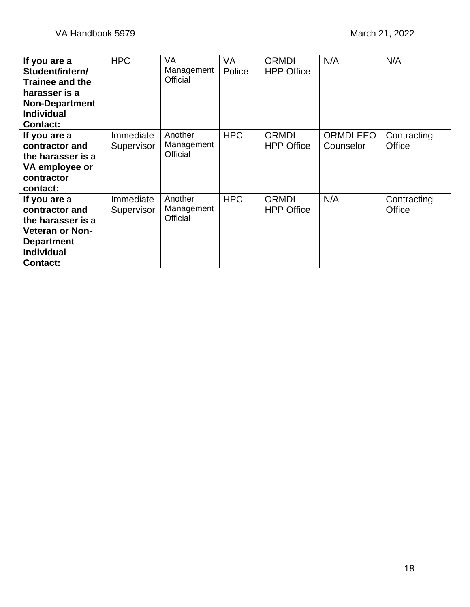| If you are a<br>Student/intern/<br><b>Trainee and the</b><br>harasser is a<br><b>Non-Department</b><br><b>Individual</b><br><b>Contact:</b> | <b>HPC</b>              | <b>VA</b><br>Management<br>Official | <b>VA</b><br>Police | <b>ORMDI</b><br><b>HPP Office</b> | N/A                           | N/A                   |
|---------------------------------------------------------------------------------------------------------------------------------------------|-------------------------|-------------------------------------|---------------------|-----------------------------------|-------------------------------|-----------------------|
| If you are a<br>contractor and<br>the harasser is a<br>VA employee or<br>contractor<br>contact:                                             | Immediate<br>Supervisor | Another<br>Management<br>Official   | <b>HPC</b>          | <b>ORMDI</b><br><b>HPP Office</b> | <b>ORMDI EEO</b><br>Counselor | Contracting<br>Office |
| If you are a<br>contractor and<br>the harasser is a<br><b>Veteran or Non-</b><br><b>Department</b><br><b>Individual</b><br><b>Contact:</b>  | Immediate<br>Supervisor | Another<br>Management<br>Official   | <b>HPC</b>          | <b>ORMDI</b><br><b>HPP Office</b> | N/A                           | Contracting<br>Office |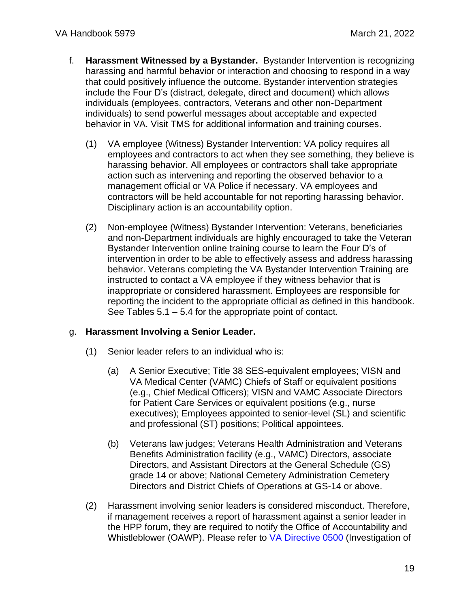- f. **Harassment Witnessed by a Bystander.** Bystander Intervention is recognizing harassing and harmful behavior or interaction and choosing to respond in a way that could positively influence the outcome. Bystander intervention strategies include the Four D's (distract, delegate, direct and document) which allows individuals (employees, contractors, Veterans and other non-Department individuals) to send powerful messages about acceptable and expected behavior in VA. Visit TMS for additional information and training courses.
	- (1) VA employee (Witness) Bystander Intervention: VA policy requires all employees and contractors to act when they see something, they believe is harassing behavior. All employees or contractors shall take appropriate action such as intervening and reporting the observed behavior to a management official or VA Police if necessary. VA employees and contractors will be held accountable for not reporting harassing behavior. Disciplinary action is an accountability option.
	- (2) Non-employee (Witness) Bystander Intervention: Veterans, beneficiaries and non-Department individuals are highly encouraged to take the Veteran Bystander Intervention online training course to learn the Four D's of intervention in order to be able to effectively assess and address harassing behavior. Veterans completing the VA Bystander Intervention Training are instructed to contact a VA employee if they witness behavior that is inappropriate or considered harassment. Employees are responsible for reporting the incident to the appropriate official as defined in this handbook. See Tables 5.1 – 5.4 for the appropriate point of contact.

#### g. **Harassment Involving a Senior Leader.**

- (1) Senior leader refers to an individual who is:
	- (a) A Senior Executive; Title 38 SES-equivalent employees; VISN and VA Medical Center (VAMC) Chiefs of Staff or equivalent positions (e.g., Chief Medical Officers); VISN and VAMC Associate Directors for Patient Care Services or equivalent positions (e.g., nurse executives); Employees appointed to senior-level (SL) and scientific and professional (ST) positions; Political appointees.
	- (b) Veterans law judges; Veterans Health Administration and Veterans Benefits Administration facility (e.g., VAMC) Directors, associate Directors, and Assistant Directors at the General Schedule (GS) grade 14 or above; National Cemetery Administration Cemetery Directors and District Chiefs of Operations at GS-14 or above.
- (2) Harassment involving senior leaders is considered misconduct. Therefore, if management receives a report of harassment against a senior leader in the HPP forum, they are required to notify the Office of Accountability and Whistleblower (OAWP). Please refer to [VA Directive 0500](https://www.va.gov/vapubs/search_action.cfm?dType=1) (Investigation of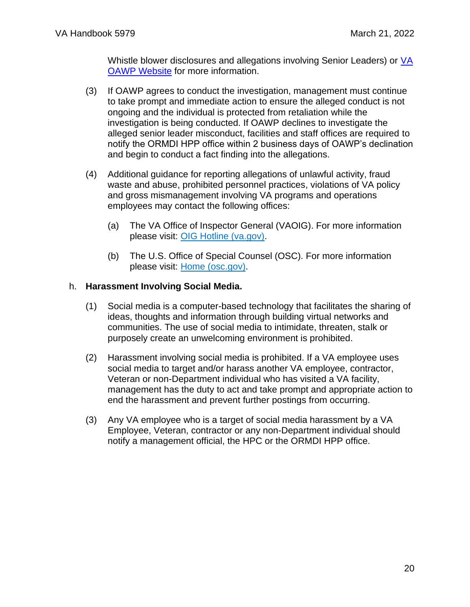Whistle blower disclosures and allegations involving Senior Leaders) or [VA](https://www.va.gov/accountability/)  [OAWP Website](https://www.va.gov/accountability/) for more information.

- (3) If OAWP agrees to conduct the investigation, management must continue to take prompt and immediate action to ensure the alleged conduct is not ongoing and the individual is protected from retaliation while the investigation is being conducted. If OAWP declines to investigate the alleged senior leader misconduct, facilities and staff offices are required to notify the ORMDI HPP office within 2 business days of OAWP's declination and begin to conduct a fact finding into the allegations.
- (4) Additional guidance for reporting allegations of unlawful activity, fraud waste and abuse, prohibited personnel practices, violations of VA policy and gross mismanagement involving VA programs and operations employees may contact the following offices:
	- (a) The VA Office of Inspector General (VAOIG). For more information please visit: [OIG Hotline \(va.gov\).](https://www.va.gov/oig/hotline/default.asp)
	- (b) The U.S. Office of Special Counsel (OSC). For more information please visit: [Home \(osc.gov\).](https://osc.gov/)

#### h. **Harassment Involving Social Media.**

- (1) Social media is a computer-based technology that facilitates the sharing of ideas, thoughts and information through building virtual networks and communities. The use of social media to intimidate, threaten, stalk or purposely create an unwelcoming environment is prohibited.
- (2) Harassment involving social media is prohibited. If a VA employee uses social media to target and/or harass another VA employee, contractor, Veteran or non-Department individual who has visited a VA facility, management has the duty to act and take prompt and appropriate action to end the harassment and prevent further postings from occurring.
- (3) Any VA employee who is a target of social media harassment by a VA Employee, Veteran, contractor or any non-Department individual should notify a management official, the HPC or the ORMDI HPP office.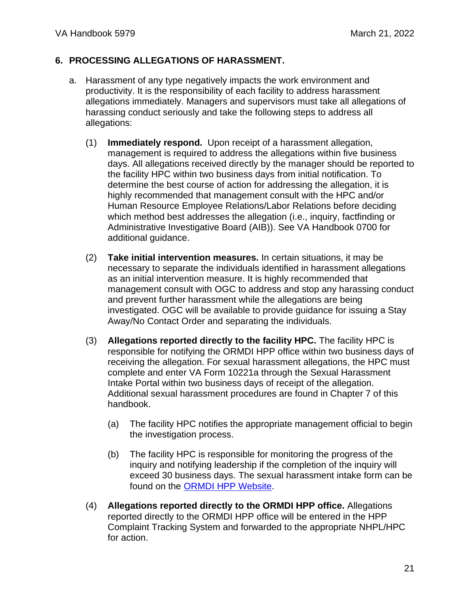#### <span id="page-20-0"></span>**6. PROCESSING ALLEGATIONS OF HARASSMENT.**

- a. Harassment of any type negatively impacts the work environment and productivity. It is the responsibility of each facility to address harassment allegations immediately. Managers and supervisors must take all allegations of harassing conduct seriously and take the following steps to address all allegations:
	- (1) **Immediately respond.** Upon receipt of a harassment allegation, management is required to address the allegations within five business days. All allegations received directly by the manager should be reported to the facility HPC within two business days from initial notification. To determine the best course of action for addressing the allegation, it is highly recommended that management consult with the HPC and/or Human Resource Employee Relations/Labor Relations before deciding which method best addresses the allegation (i.e., inquiry, factfinding or Administrative Investigative Board (AIB)). See VA Handbook 0700 for additional guidance.
	- (2) **Take initial intervention measures.** In certain situations, it may be necessary to separate the individuals identified in harassment allegations as an initial intervention measure. It is highly recommended that management consult with OGC to address and stop any harassing conduct and prevent further harassment while the allegations are being investigated. OGC will be available to provide guidance for issuing a Stay Away/No Contact Order and separating the individuals.
	- (3) **Allegations reported directly to the facility HPC.** The facility HPC is responsible for notifying the ORMDI HPP office within two business days of receiving the allegation. For sexual harassment allegations, the HPC must complete and enter VA Form 10221a through the Sexual Harassment Intake Portal within two business days of receipt of the allegation. Additional sexual harassment procedures are found in Chapter 7 of this handbook.
		- (a) The facility HPC notifies the appropriate management official to begin the investigation process.
		- (b) The facility HPC is responsible for monitoring the progress of the inquiry and notifying leadership if the completion of the inquiry will exceed 30 business days. The sexual harassment intake form can be found on the [ORMDI HPP Website.](http://www.va.gov/ORMDI/HPP.asp)
	- (4) **Allegations reported directly to the ORMDI HPP office.** Allegations reported directly to the ORMDI HPP office will be entered in the HPP Complaint Tracking System and forwarded to the appropriate NHPL/HPC for action.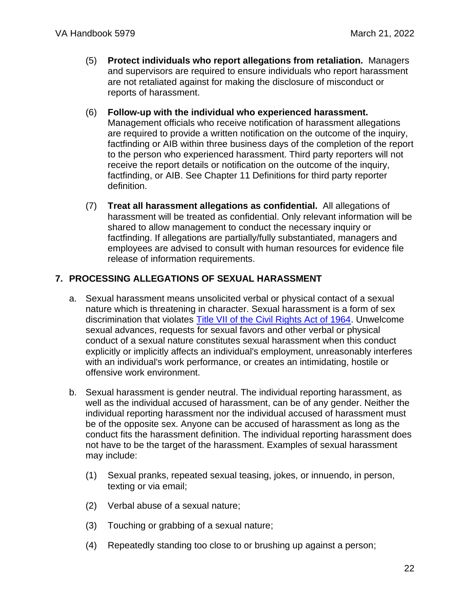- (5) **Protect individuals who report allegations from retaliation.** Managers and supervisors are required to ensure individuals who report harassment are not retaliated against for making the disclosure of misconduct or reports of harassment.
- (6) **Follow-up with the individual who experienced harassment.** Management officials who receive notification of harassment allegations are required to provide a written notification on the outcome of the inquiry, factfinding or AIB within three business days of the completion of the report to the person who experienced harassment. Third party reporters will not receive the report details or notification on the outcome of the inquiry, factfinding, or AIB. See Chapter 11 Definitions for third party reporter definition.
- (7) **Treat all harassment allegations as confidential.** All allegations of harassment will be treated as confidential. Only relevant information will be shared to allow management to conduct the necessary inquiry or factfinding. If allegations are partially/fully substantiated, managers and employees are advised to consult with human resources for evidence file release of information requirements.

### **7. PROCESSING ALLEGATIONS OF SEXUAL HARASSMENT**

- <span id="page-21-0"></span>a. Sexual harassment means unsolicited verbal or physical contact of a sexual nature which is threatening in character. Sexual harassment is a form of sex discrimination that violates [Title VII of the Civil Rights Act of 1964.](https://www.eeoc.gov/statutes/title-vii-civil-rights-act-1964) Unwelcome sexual advances, requests for sexual favors and other verbal or physical conduct of a sexual nature constitutes sexual harassment when this conduct explicitly or implicitly affects an individual's employment, unreasonably interferes with an individual's work performance, or creates an intimidating, hostile or offensive work environment.
- b. Sexual harassment is gender neutral. The individual reporting harassment, as well as the individual accused of harassment, can be of any gender. Neither the individual reporting harassment nor the individual accused of harassment must be of the opposite sex. Anyone can be accused of harassment as long as the conduct fits the harassment definition. The individual reporting harassment does not have to be the target of the harassment. Examples of sexual harassment may include:
	- (1) Sexual pranks, repeated sexual teasing, jokes, or innuendo, in person, texting or via email;
	- (2) Verbal abuse of a sexual nature;
	- (3) Touching or grabbing of a sexual nature;
	- (4) Repeatedly standing too close to or brushing up against a person;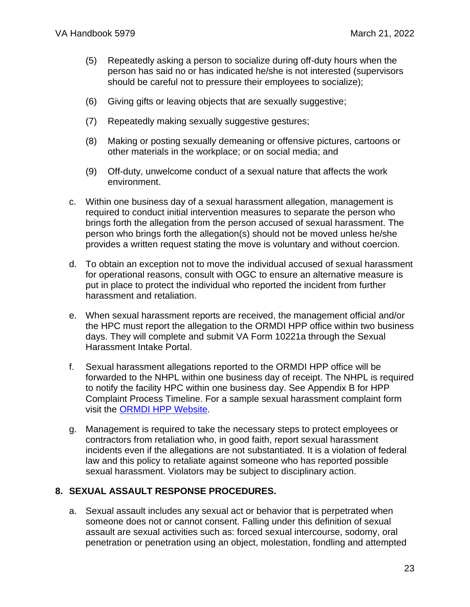- (5) Repeatedly asking a person to socialize during off-duty hours when the person has said no or has indicated he/she is not interested (supervisors should be careful not to pressure their employees to socialize);
- (6) Giving gifts or leaving objects that are sexually suggestive;
- (7) Repeatedly making sexually suggestive gestures;
- (8) Making or posting sexually demeaning or offensive pictures, cartoons or other materials in the workplace; or on social media; and
- (9) Off-duty, unwelcome conduct of a sexual nature that affects the work environment.
- c. Within one business day of a sexual harassment allegation, management is required to conduct initial intervention measures to separate the person who brings forth the allegation from the person accused of sexual harassment. The person who brings forth the allegation(s) should not be moved unless he/she provides a written request stating the move is voluntary and without coercion.
- d. To obtain an exception not to move the individual accused of sexual harassment for operational reasons, consult with OGC to ensure an alternative measure is put in place to protect the individual who reported the incident from further harassment and retaliation.
- e. When sexual harassment reports are received, the management official and/or the HPC must report the allegation to the ORMDI HPP office within two business days. They will complete and submit VA Form 10221a through the Sexual Harassment Intake Portal.
- f. Sexual harassment allegations reported to the ORMDI HPP office will be forwarded to the NHPL within one business day of receipt. The NHPL is required to notify the facility HPC within one business day. See Appendix B for HPP Complaint Process Timeline. For a sample sexual harassment complaint form visit the [ORMDI HPP Website.](http://www.va.gov/ORMDI/HPP.asp)
- g. Management is required to take the necessary steps to protect employees or contractors from retaliation who, in good faith, report sexual harassment incidents even if the allegations are not substantiated. It is a violation of federal law and this policy to retaliate against someone who has reported possible sexual harassment. Violators may be subject to disciplinary action.

#### <span id="page-22-0"></span>**8. SEXUAL ASSAULT RESPONSE PROCEDURES.**

a. Sexual assault includes any sexual act or behavior that is perpetrated when someone does not or cannot consent. Falling under this definition of sexual assault are sexual activities such as: forced sexual intercourse, sodomy, oral penetration or penetration using an object, molestation, fondling and attempted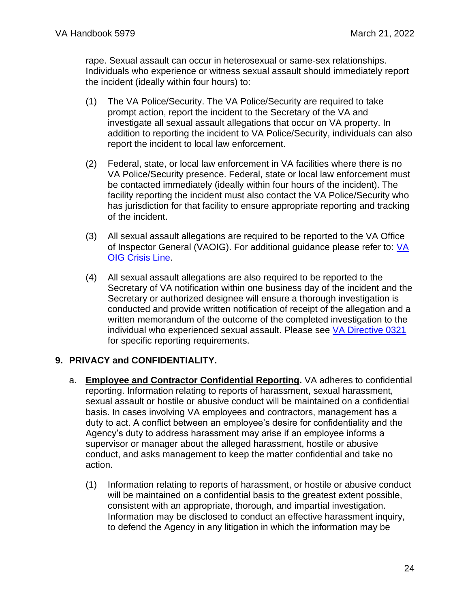rape. Sexual assault can occur in heterosexual or same-sex relationships. Individuals who experience or witness sexual assault should immediately report the incident (ideally within four hours) to:

- (1) The VA Police/Security. The VA Police/Security are required to take prompt action, report the incident to the Secretary of the VA and investigate all sexual assault allegations that occur on VA property. In addition to reporting the incident to VA Police/Security, individuals can also report the incident to local law enforcement.
- (2) Federal, state, or local law enforcement in VA facilities where there is no VA Police/Security presence. Federal, state or local law enforcement must be contacted immediately (ideally within four hours of the incident). The facility reporting the incident must also contact the VA Police/Security who has jurisdiction for that facility to ensure appropriate reporting and tracking of the incident.
- (3) All sexual assault allegations are required to be reported to the VA Office of Inspector General (VAOIG). For additional guidance please refer to: VA [OIG Crisis Line.](https://www.va.gov/oig/hotline/complainant-release-preference.asp)
- (4) All sexual assault allegations are also required to be reported to the Secretary of VA notification within one business day of the incident and the Secretary or authorized designee will ensure a thorough investigation is conducted and provide written notification of receipt of the allegation and a written memorandum of the outcome of the completed investigation to the individual who experienced sexual assault. Please see [VA Directive 0321](https://www.va.gov/vapubs/viewPublication.asp?Pub_ID=618&FType=2) for specific reporting requirements.

### <span id="page-23-0"></span>**9. PRIVACY and CONFIDENTIALITY.**

- a. **Employee and Contractor Confidential Reporting.** VA adheres to confidential reporting. Information relating to reports of harassment, sexual harassment, sexual assault or hostile or abusive conduct will be maintained on a confidential basis. In cases involving VA employees and contractors, management has a duty to act. A conflict between an employee's desire for confidentiality and the Agency's duty to address harassment may arise if an employee informs a supervisor or manager about the alleged harassment, hostile or abusive conduct, and asks management to keep the matter confidential and take no action.
	- (1) Information relating to reports of harassment, or hostile or abusive conduct will be maintained on a confidential basis to the greatest extent possible, consistent with an appropriate, thorough, and impartial investigation. Information may be disclosed to conduct an effective harassment inquiry, to defend the Agency in any litigation in which the information may be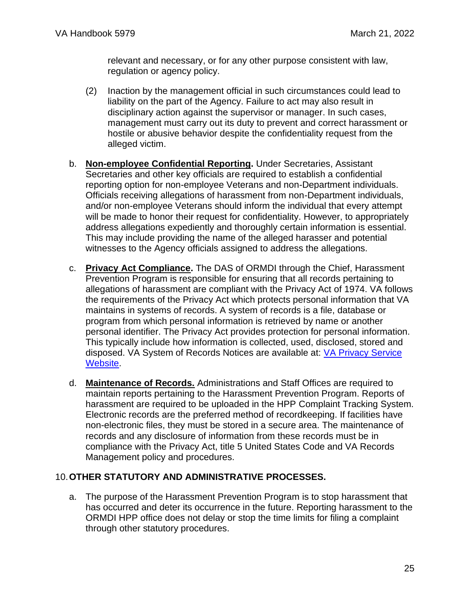relevant and necessary, or for any other purpose consistent with law, regulation or agency policy.

- (2) Inaction by the management official in such circumstances could lead to liability on the part of the Agency. Failure to act may also result in disciplinary action against the supervisor or manager. In such cases, management must carry out its duty to prevent and correct harassment or hostile or abusive behavior despite the confidentiality request from the alleged victim.
- b. **Non-employee Confidential Reporting.** Under Secretaries, Assistant Secretaries and other key officials are required to establish a confidential reporting option for non-employee Veterans and non-Department individuals. Officials receiving allegations of harassment from non-Department individuals, and/or non-employee Veterans should inform the individual that every attempt will be made to honor their request for confidentiality. However, to appropriately address allegations expediently and thoroughly certain information is essential. This may include providing the name of the alleged harasser and potential witnesses to the Agency officials assigned to address the allegations.
- c. **Privacy Act Compliance.** The DAS of ORMDI through the Chief, Harassment Prevention Program is responsible for ensuring that all records pertaining to allegations of harassment are compliant with the Privacy Act of 1974. VA follows the requirements of the Privacy Act which protects personal information that VA maintains in systems of records. A system of records is a file, database or program from which personal information is retrieved by name or another personal identifier. The Privacy Act provides protection for personal information. This typically include how information is collected, used, disclosed, stored and disposed. VA System of Records Notices are available at: [VA Privacy Service](https://www.oprm.va.gov/privacy/systems_of_records.aspx)  [Website.](https://www.oprm.va.gov/privacy/systems_of_records.aspx)
- d. **Maintenance of Records.** Administrations and Staff Offices are required to maintain reports pertaining to the Harassment Prevention Program. Reports of harassment are required to be uploaded in the HPP Complaint Tracking System. Electronic records are the preferred method of recordkeeping. If facilities have non-electronic files, they must be stored in a secure area. The maintenance of records and any disclosure of information from these records must be in compliance with the Privacy Act, title 5 United States Code and VA Records Management policy and procedures.

### <span id="page-24-0"></span>10.**OTHER STATUTORY AND ADMINISTRATIVE PROCESSES.**

a. The purpose of the Harassment Prevention Program is to stop harassment that has occurred and deter its occurrence in the future. Reporting harassment to the ORMDI HPP office does not delay or stop the time limits for filing a complaint through other statutory procedures.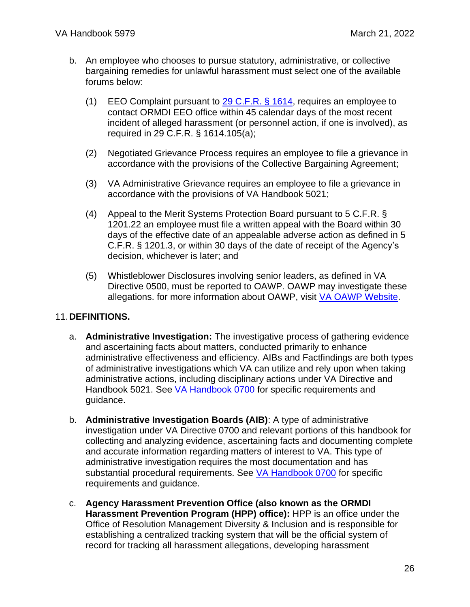- b. An employee who chooses to pursue statutory, administrative, or collective bargaining remedies for unlawful harassment must select one of the available forums below:
	- (1) EEO Complaint pursuant to [29 C.F.R. § 1614,](https://www.eeoc.gov/publications/federal-eeo-complaint-processing-procedures) requires an employee to contact ORMDI EEO office within 45 calendar days of the most recent incident of alleged harassment (or personnel action, if one is involved), as required in 29 C.F.R. § 1614.105(a);
	- (2) Negotiated Grievance Process requires an employee to file a grievance in accordance with the provisions of the Collective Bargaining Agreement;
	- (3) VA Administrative Grievance requires an employee to file a grievance in accordance with the provisions of VA Handbook 5021;
	- (4) Appeal to the Merit Systems Protection Board pursuant to 5 C.F.R. § 1201.22 an employee must file a written appeal with the Board within 30 days of the effective date of an appealable adverse action as defined in 5 C.F.R. § 1201.3, or within 30 days of the date of receipt of the Agency's decision, whichever is later; and
	- (5) Whistleblower Disclosures involving senior leaders, as defined in VA Directive 0500, must be reported to OAWP. OAWP may investigate these allegations. for more information about OAWP, visit [VA OAWP Website.](http://www.va.gov/accountability)

### <span id="page-25-0"></span>11.**DEFINITIONS.**

- a. **Administrative Investigation:** The investigative process of gathering evidence and ascertaining facts about matters, conducted primarily to enhance administrative effectiveness and efficiency. AIBs and Factfindings are both types of administrative investigations which VA can utilize and rely upon when taking administrative actions, including disciplinary actions under VA Directive and Handbook 5021. See [VA Handbook 0700](https://www.va.gov/ogc/investigations.asp) for specific requirements and guidance.
- b. **Administrative Investigation Boards (AIB)**: A type of administrative investigation under VA Directive 0700 and relevant portions of this handbook for collecting and analyzing evidence, ascertaining facts and documenting complete and accurate information regarding matters of interest to VA. This type of administrative investigation requires the most documentation and has substantial procedural requirements. See [VA Handbook 0700](https://www.va.gov/ogc/investigations.asp) for specific requirements and guidance.
- c. **Agency Harassment Prevention Office (also known as the ORMDI Harassment Prevention Program (HPP) office):** HPP is an office under the Office of Resolution Management Diversity & Inclusion and is responsible for establishing a centralized tracking system that will be the official system of record for tracking all harassment allegations, developing harassment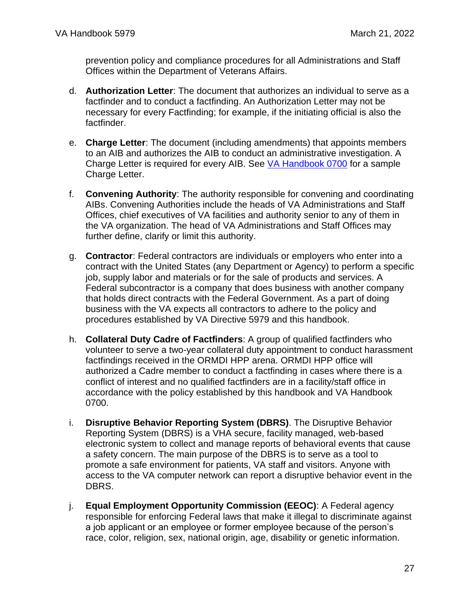prevention policy and compliance procedures for all Administrations and Staff Offices within the Department of Veterans Affairs.

- d. **Authorization Letter**: The document that authorizes an individual to serve as a factfinder and to conduct a factfinding. An Authorization Letter may not be necessary for every Factfinding; for example, if the initiating official is also the factfinder.
- e. **Charge Letter**: The document (including amendments) that appoints members to an AIB and authorizes the AIB to conduct an administrative investigation. A Charge Letter is required for every AIB. See [VA Handbook 0700](https://www.va.gov/ogc/investigations.asp) for a sample Charge Letter.
- f. **Convening Authority**: The authority responsible for convening and coordinating AIBs. Convening Authorities include the heads of VA Administrations and Staff Offices, chief executives of VA facilities and authority senior to any of them in the VA organization. The head of VA Administrations and Staff Offices may further define, clarify or limit this authority.
- g. **Contractor**: Federal contractors are individuals or employers who enter into a contract with the United States (any Department or Agency) to perform a specific job, supply labor and materials or for the sale of products and services. A Federal subcontractor is a company that does business with another company that holds direct contracts with the Federal Government. As a part of doing business with the VA expects all contractors to adhere to the policy and procedures established by VA Directive 5979 and this handbook.
- h. **Collateral Duty Cadre of Factfinders**: A group of qualified factfinders who volunteer to serve a two-year collateral duty appointment to conduct harassment factfindings received in the ORMDI HPP arena. ORMDI HPP office will authorized a Cadre member to conduct a factfinding in cases where there is a conflict of interest and no qualified factfinders are in a facility/staff office in accordance with the policy established by this handbook and VA Handbook 0700.
- i. **Disruptive Behavior Reporting System (DBRS)**. The Disruptive Behavior Reporting System (DBRS) is a VHA secure, facility managed, web-based electronic system to collect and manage reports of behavioral events that cause a safety concern. The main purpose of the DBRS is to serve as a tool to promote a safe environment for patients, VA staff and visitors. Anyone with access to the VA computer network can report a disruptive behavior event in the DBRS.
- j. **Equal Employment Opportunity Commission (EEOC)**: A Federal agency responsible for enforcing Federal laws that make it illegal to discriminate against a job applicant or an employee or former employee because of the person's race, color, religion, sex, national origin, age, disability or genetic information.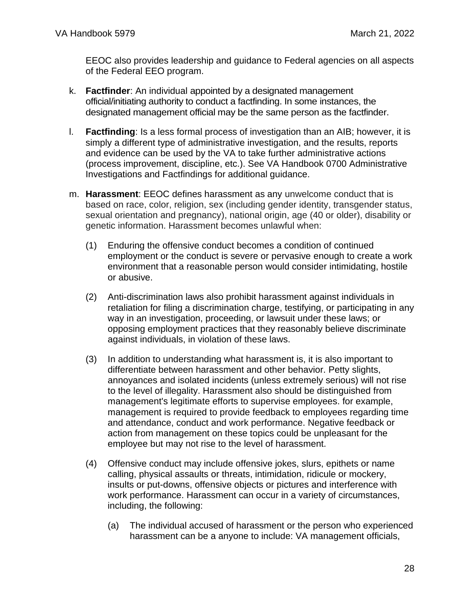EEOC also provides leadership and guidance to Federal agencies on all aspects of the Federal EEO program.

- k. **Factfinder**: An individual appointed by a designated management official/initiating authority to conduct a factfinding. In some instances, the designated management official may be the same person as the factfinder.
- l. **Factfinding**: Is a less formal process of investigation than an AIB; however, it is simply a different type of administrative investigation, and the results, reports and evidence can be used by the VA to take further administrative actions (process improvement, discipline, etc.). See VA Handbook 0700 Administrative Investigations and Factfindings for additional guidance.
- m. **Harassment**: EEOC defines harassment as any unwelcome conduct that is based on race, color, religion, sex (including gender identity, transgender status, sexual orientation and pregnancy), national origin, age (40 or older), disability or genetic information. Harassment becomes unlawful when:
	- (1) Enduring the offensive conduct becomes a condition of continued employment or the conduct is severe or pervasive enough to create a work environment that a reasonable person would consider intimidating, hostile or abusive.
	- (2) Anti-discrimination laws also prohibit harassment against individuals in retaliation for filing a discrimination charge, testifying, or participating in any way in an investigation, proceeding, or lawsuit under these laws; or opposing employment practices that they reasonably believe discriminate against individuals, in violation of these laws.
	- (3) In addition to understanding what harassment is, it is also important to differentiate between harassment and other behavior. Petty slights, annoyances and isolated incidents (unless extremely serious) will not rise to the level of illegality. Harassment also should be distinguished from management's legitimate efforts to supervise employees. for example, management is required to provide feedback to employees regarding time and attendance, conduct and work performance. Negative feedback or action from management on these topics could be unpleasant for the employee but may not rise to the level of harassment.
	- (4) Offensive conduct may include offensive jokes, slurs, epithets or name calling, physical assaults or threats, intimidation, ridicule or mockery, insults or put-downs, offensive objects or pictures and interference with work performance. Harassment can occur in a variety of circumstances, including, the following:
		- (a) The individual accused of harassment or the person who experienced harassment can be a anyone to include: VA management officials,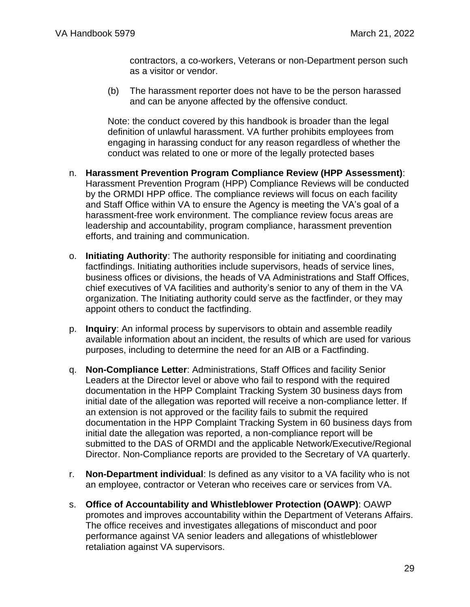contractors, a co-workers, Veterans or non-Department person such as a visitor or vendor.

(b) The harassment reporter does not have to be the person harassed and can be anyone affected by the offensive conduct.

Note: the conduct covered by this handbook is broader than the legal definition of unlawful harassment. VA further prohibits employees from engaging in harassing conduct for any reason regardless of whether the conduct was related to one or more of the legally protected bases

- n. **Harassment Prevention Program Compliance Review (HPP Assessment)**: Harassment Prevention Program (HPP) Compliance Reviews will be conducted by the ORMDI HPP office. The compliance reviews will focus on each facility and Staff Office within VA to ensure the Agency is meeting the VA's goal of a harassment-free work environment. The compliance review focus areas are leadership and accountability, program compliance, harassment prevention efforts, and training and communication.
- o. **Initiating Authority**: The authority responsible for initiating and coordinating factfindings. Initiating authorities include supervisors, heads of service lines, business offices or divisions, the heads of VA Administrations and Staff Offices, chief executives of VA facilities and authority's senior to any of them in the VA organization. The Initiating authority could serve as the factfinder, or they may appoint others to conduct the factfinding.
- p. **Inquiry**: An informal process by supervisors to obtain and assemble readily available information about an incident, the results of which are used for various purposes, including to determine the need for an AIB or a Factfinding.
- q. **Non-Compliance Letter**: Administrations, Staff Offices and facility Senior Leaders at the Director level or above who fail to respond with the required documentation in the HPP Complaint Tracking System 30 business days from initial date of the allegation was reported will receive a non-compliance letter. If an extension is not approved or the facility fails to submit the required documentation in the HPP Complaint Tracking System in 60 business days from initial date the allegation was reported, a non-compliance report will be submitted to the DAS of ORMDI and the applicable Network/Executive/Regional Director. Non-Compliance reports are provided to the Secretary of VA quarterly.
- r. **Non-Department individual**: Is defined as any visitor to a VA facility who is not an employee, contractor or Veteran who receives care or services from VA.
- s. **Office of Accountability and Whistleblower Protection (OAWP)**: OAWP promotes and improves accountability within the Department of Veterans Affairs. The office receives and investigates allegations of misconduct and poor performance against VA senior leaders and allegations of whistleblower retaliation against VA supervisors.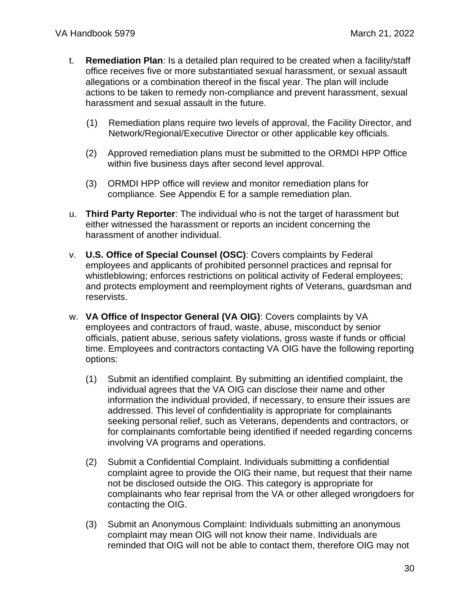- t. **Remediation Plan**: Is a detailed plan required to be created when a facility/staff office receives five or more substantiated sexual harassment, or sexual assault allegations or a combination thereof in the fiscal year. The plan will include actions to be taken to remedy non-compliance and prevent harassment, sexual harassment and sexual assault in the future.
	- (1) Remediation plans require two levels of approval, the Facility Director, and Network/Regional/Executive Director or other applicable key officials.
	- (2) Approved remediation plans must be submitted to the ORMDI HPP Office within five business days after second level approval.
	- (3) ORMDI HPP office will review and monitor remediation plans for compliance. See Appendix E for a sample remediation plan.
- u. **Third Party Reporter**: The individual who is not the target of harassment but either witnessed the harassment or reports an incident concerning the harassment of another individual.
- v. **U.S. Office of Special Counsel (OSC)**: Covers complaints by Federal employees and applicants of prohibited personnel practices and reprisal for whistleblowing; enforces restrictions on political activity of Federal employees; and protects employment and reemployment rights of Veterans, guardsman and reservists.
- w. **VA Office of Inspector General (VA OIG)**: Covers complaints by VA employees and contractors of fraud, waste, abuse, misconduct by senior officials, patient abuse, serious safety violations, gross waste if funds or official time. Employees and contractors contacting VA OIG have the following reporting options:
	- (1) Submit an identified complaint. By submitting an identified complaint, the individual agrees that the VA OIG can disclose their name and other information the individual provided, if necessary, to ensure their issues are addressed. This level of confidentiality is appropriate for complainants seeking personal relief, such as Veterans, dependents and contractors, or for complainants comfortable being identified if needed regarding concerns involving VA programs and operations.
	- (2) Submit a Confidential Complaint. Individuals submitting a confidential complaint agree to provide the OIG their name, but request that their name not be disclosed outside the OIG. This category is appropriate for complainants who fear reprisal from the VA or other alleged wrongdoers for contacting the OIG.
	- (3) Submit an Anonymous Complaint: Individuals submitting an anonymous complaint may mean OIG will not know their name. Individuals are reminded that OIG will not be able to contact them, therefore OIG may not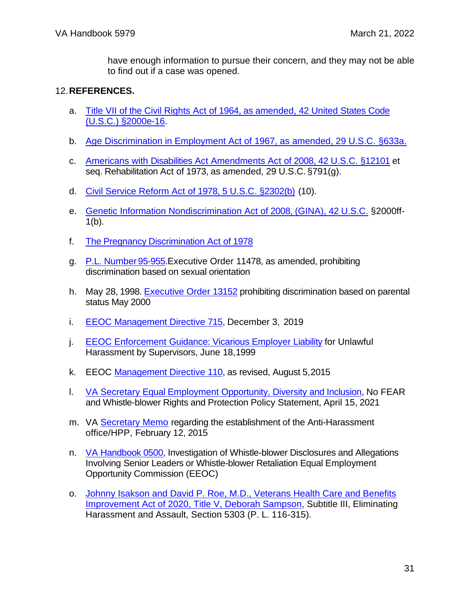have enough information to pursue their concern, and they may not be able to find out if a case was opened.

#### <span id="page-30-0"></span>12.**REFERENCES.**

- a. [Title VII of the Civil Rights Act of 1964, as amended, 42 United States Code](https://www.eeoc.gov/statutes/title-vii-civil-rights-act-1964)  (U.S.C.) [§2000e-16.](https://www.eeoc.gov/statutes/title-vii-civil-rights-act-1964)
- b. [Age Discrimination in Employment Act of 1967, as amended, 29 U.S.C.](https://www.eeoc.gov/statutes/age-discrimination-employment-act-1967) §633a.
- c. [Americans with Disabilities Act Amendments Act of 2008, 42 U.S.C. §12101](https://www.eeoc.gov/statutes/rehabilitation-act-1973) [et](https://www.eeoc.gov/statutes/ada-amendments-act-2008) [seq.](https://www.eeoc.gov/statutes/ada-amendments-act-2008) Rehabilitation Act of 1973, as amended, 29 U.S.C. §791(g).
- d. [Civil Service Reform Act of 1978, 5 U.S.C.](https://www.congress.gov/bill/95th-congress/senate-bill/2640) §2302(b) (10).
- e. [Genetic Information Nondiscrimination Act of 2008, \(GINA\), 42 U.S.C.](https://www.eeoc.gov/statutes/genetic-information-nondiscrimination-act-2008) §2000f[f-](https://www.eeoc.gov/statutes/genetic-information-nondiscrimination-act-2008) $1(b)$ .
- f. The Pregnancy [Discrimination Act](https://www.eeoc.gov/statutes/pregnancy-discrimination-act-1978) of 1978
- g. P.L. [Number](https://www.govinfo.gov/content/pkg/STATUTE-92/pdf/STATUTE-92-Pg2076.pdf) 95-955[.Executive Order 11478, as amended, prohibiting](https://www.commerce.gov/cr/executive-order-13087)  [discrimination based on sexual](https://www.commerce.gov/cr/executive-order-13087) orientation
- h. May 28, 1998. [Executive Order 13152](https://www.eeoc.gov/federal-sector/facts-about-discrimination-federal-government-employment-based-marital-status) prohibiting discrimination based on parental status May 2000
- i. [EEOC Management Directive 715,](https://www.eeoc.gov/federal-sector/management-directive/frequently-asked-questions-about-management-directive-715) December 3, 2019
- j. [EEOC Enforcement Guidance: Vicarious Employer Liability](https://www.eeoc.gov/laws/guidance/enforcement-guidance-vicarious-liability-unlawful-harassment-supervisors) for Unlawf[ul](https://www.eeoc.gov/laws/guidance/enforcement-guidance-vicarious-liability-unlawful-harassment-supervisors) [Harassment by Supervisors, June 18,1999](https://www.eeoc.gov/laws/guidance/enforcement-guidance-vicarious-liability-unlawful-harassment-supervisors)
- k. EEOC [Management Directive 110,](https://www.eeoc.gov/federal-sector/management-directive/management-directive-110) as revised, August 5,2015
- I. **[VA Secretary Equal Employment Opportunity, Diversity and Inclusion,](https://www.va.gov/ORMDI/docs/EEO_Policy.pdf) No FEA[R](https://www.diversity.va.gov/policy/statement.aspx)** [and Whistle-blower Rights and Protection Policy Statement, April 15, 2021](https://www.diversity.va.gov/policy/statement.aspx)
- m. VA [Secretary Memo](https://www.va.gov/ORMDI/images/Anti_Harassment_Secretary_Memorandum.pdf) regarding the establishment of the Anti-Harassme[nt](https://www.va.gov/ORM/images/Anti_Harassment_Secretary_Memorandum.pdf) office/HPP, February 12, 2015
- n. [VA Handbook 0500,](https://www.va.gov/vapubs/viewPublication.asp?Pub_ID=1062&FType=2) Investigation of Whistle-blower Disclosures and Allegations Involving Senior Leaders or Whistle-blower Retaliation [Equal Employment](https://www.eeoc.gov/federal-sector)  [Opportunity Commission \(EEOC\)](https://www.eeoc.gov/federal-sector)
- o. [Johnny Isakson and David P. Roe, M.D., Veterans Health Care and Benefits](https://www.congress.gov/bill/116th-congress/house-bill/7105/text/enr)  [Improvement Act of 2020, Title V, Deborah Sampson,](https://www.congress.gov/bill/116th-congress/house-bill/7105/text/enr) Subtitle III, Eliminating Harassment and Assault, Section 5303 (P. L. 116-315).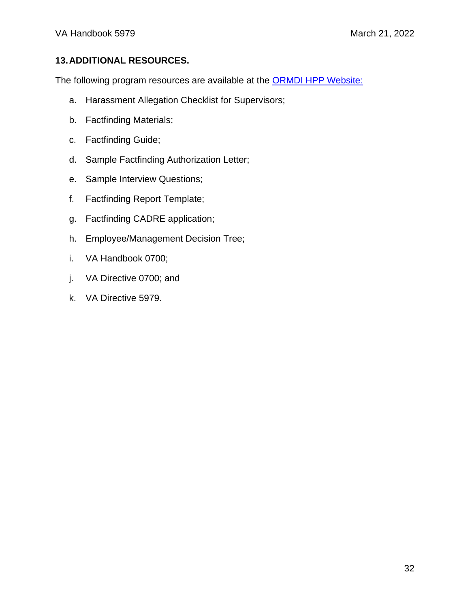### <span id="page-31-0"></span>**13.ADDITIONAL RESOURCES.**

The following program resources are available at the [ORMDI HPP Website:](https://www.va.gov/ORMDI/HPP.asp)

- a. Harassment Allegation Checklist for Supervisors;
- b. Factfinding Materials;
- c. Factfinding Guide;
- d. Sample Factfinding Authorization Letter;
- e. Sample Interview Questions;
- f. Factfinding Report Template;
- g. Factfinding CADRE application;
- h. Employee/Management Decision Tree;
- i. VA Handbook 0700;
- j. VA Directive 0700; and
- k. VA Directive 5979.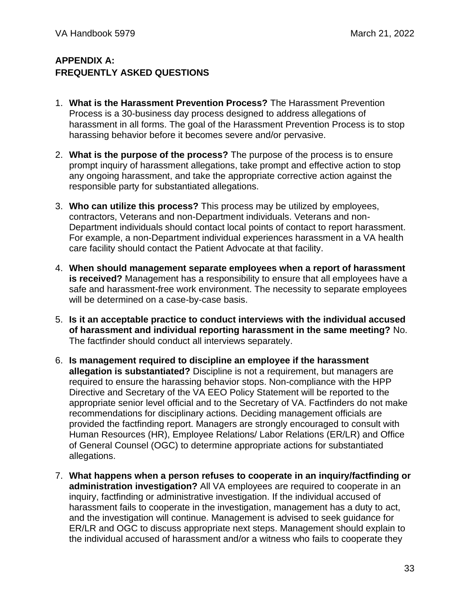### <span id="page-32-0"></span>**APPENDIX A: FREQUENTLY ASKED QUESTIONS**

- 1. **What is the Harassment Prevention Process?** The Harassment Prevention Process is a 30-business day process designed to address allegations of harassment in all forms. The goal of the Harassment Prevention Process is to stop harassing behavior before it becomes severe and/or pervasive.
- 2. **What is the purpose of the process?** The purpose of the process is to ensure prompt inquiry of harassment allegations, take prompt and effective action to stop any ongoing harassment, and take the appropriate corrective action against the responsible party for substantiated allegations.
- 3. **Who can utilize this process?** This process may be utilized by employees, contractors, Veterans and non-Department individuals. Veterans and non-Department individuals should contact local points of contact to report harassment. For example, a non-Department individual experiences harassment in a VA health care facility should contact the Patient Advocate at that facility.
- 4. **When should management separate employees when a report of harassment is received?** Management has a responsibility to ensure that all employees have a safe and harassment-free work environment. The necessity to separate employees will be determined on a case-by-case basis.
- 5. **Is it an acceptable practice to conduct interviews with the individual accused of harassment and individual reporting harassment in the same meeting?** No. The factfinder should conduct all interviews separately.
- 6. **Is management required to discipline an employee if the harassment allegation is substantiated?** Discipline is not a requirement, but managers are required to ensure the harassing behavior stops. Non-compliance with the HPP Directive and Secretary of the VA EEO Policy Statement will be reported to the appropriate senior level official and to the Secretary of VA. Factfinders do not make recommendations for disciplinary actions. Deciding management officials are provided the factfinding report. Managers are strongly encouraged to consult with Human Resources (HR), Employee Relations/ Labor Relations (ER/LR) and Office of General Counsel (OGC) to determine appropriate actions for substantiated allegations.
- 7. **What happens when a person refuses to cooperate in an inquiry/factfinding or administration investigation?** All VA employees are required to cooperate in an inquiry, factfinding or administrative investigation. If the individual accused of harassment fails to cooperate in the investigation, management has a duty to act, and the investigation will continue. Management is advised to seek guidance for ER/LR and OGC to discuss appropriate next steps. Management should explain to the individual accused of harassment and/or a witness who fails to cooperate they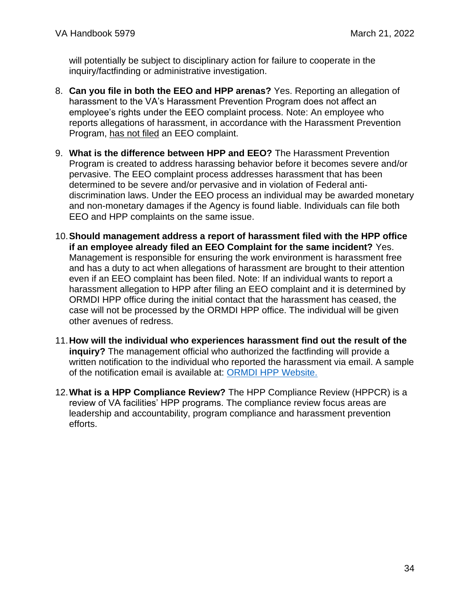will potentially be subject to disciplinary action for failure to cooperate in the inquiry/factfinding or administrative investigation.

- 8. **Can you file in both the EEO and HPP arenas?** Yes. Reporting an allegation of harassment to the VA's Harassment Prevention Program does not affect an employee's rights under the EEO complaint process. Note: An employee who reports allegations of harassment, in accordance with the Harassment Prevention Program, has not filed an EEO complaint.
- 9. **What is the difference between HPP and EEO?** The Harassment Prevention Program is created to address harassing behavior before it becomes severe and/or pervasive. The EEO complaint process addresses harassment that has been determined to be severe and/or pervasive and in violation of Federal antidiscrimination laws. Under the EEO process an individual may be awarded monetary and non-monetary damages if the Agency is found liable. Individuals can file both EEO and HPP complaints on the same issue.
- 10.**Should management address a report of harassment filed with the HPP office if an employee already filed an EEO Complaint for the same incident?** Yes. Management is responsible for ensuring the work environment is harassment free and has a duty to act when allegations of harassment are brought to their attention even if an EEO complaint has been filed. Note: If an individual wants to report a harassment allegation to HPP after filing an EEO complaint and it is determined by ORMDI HPP office during the initial contact that the harassment has ceased, the case will not be processed by the ORMDI HPP office. The individual will be given other avenues of redress.
- 11.**How will the individual who experiences harassment find out the result of the inquiry?** The management official who authorized the factfinding will provide a written notification to the individual who reported the harassment via email. A sample of the notification email is available at: [ORMDI HPP Website.](https://www.va.gov/ORMDI/HPP.asp)
- 12.**What is a HPP Compliance Review?** The HPP Compliance Review (HPPCR) is a review of VA facilities' HPP programs. The compliance review focus areas are leadership and accountability, program compliance and harassment prevention efforts.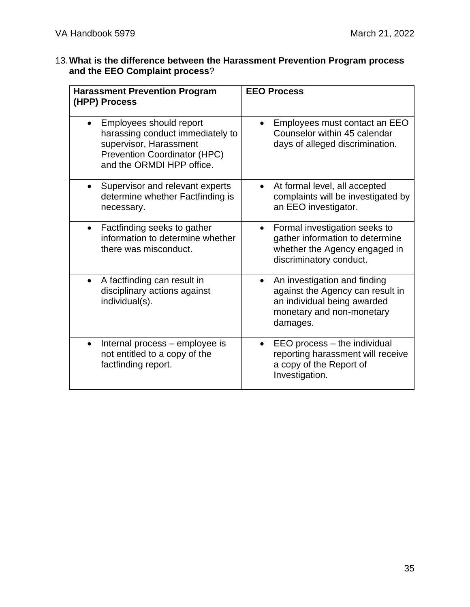### 13.**What is the difference between the Harassment Prevention Program process and the EEO Complaint process**?

| <b>Harassment Prevention Program</b><br>(HPP) Process                                                                                                                  | <b>EEO Process</b>                                                                                                                                    |  |  |  |
|------------------------------------------------------------------------------------------------------------------------------------------------------------------------|-------------------------------------------------------------------------------------------------------------------------------------------------------|--|--|--|
| Employees should report<br>$\bullet$<br>harassing conduct immediately to<br>supervisor, Harassment<br><b>Prevention Coordinator (HPC)</b><br>and the ORMDI HPP office. | Employees must contact an EEO<br>Counselor within 45 calendar<br>days of alleged discrimination.                                                      |  |  |  |
| Supervisor and relevant experts<br>$\bullet$<br>determine whether Factfinding is<br>necessary.                                                                         | At formal level, all accepted<br>complaints will be investigated by<br>an EEO investigator.                                                           |  |  |  |
| Factfinding seeks to gather<br>$\bullet$<br>information to determine whether<br>there was misconduct.                                                                  | Formal investigation seeks to<br>$\bullet$<br>gather information to determine<br>whether the Agency engaged in<br>discriminatory conduct.             |  |  |  |
| A factfinding can result in<br>$\bullet$<br>disciplinary actions against<br>individual(s).                                                                             | An investigation and finding<br>$\bullet$<br>against the Agency can result in<br>an individual being awarded<br>monetary and non-monetary<br>damages. |  |  |  |
| Internal process - employee is<br>$\bullet$<br>not entitled to a copy of the<br>factfinding report.                                                                    | EEO process - the individual<br>reporting harassment will receive<br>a copy of the Report of<br>Investigation.                                        |  |  |  |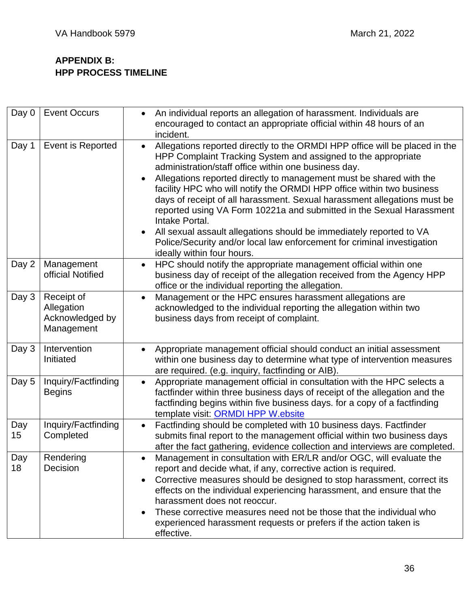### <span id="page-35-0"></span>**APPENDIX B: HPP PROCESS TIMELINE**

| Day 0     | <b>Event Occurs</b>                                       | An individual reports an allegation of harassment. Individuals are<br>$\bullet$<br>encouraged to contact an appropriate official within 48 hours of an<br>incident.                                                                                                                                                                                                                                                                                                                                                                                                                                                                                                                                                                  |
|-----------|-----------------------------------------------------------|--------------------------------------------------------------------------------------------------------------------------------------------------------------------------------------------------------------------------------------------------------------------------------------------------------------------------------------------------------------------------------------------------------------------------------------------------------------------------------------------------------------------------------------------------------------------------------------------------------------------------------------------------------------------------------------------------------------------------------------|
| Day 1     | Event is Reported                                         | Allegations reported directly to the ORMDI HPP office will be placed in the<br>$\bullet$<br>HPP Complaint Tracking System and assigned to the appropriate<br>administration/staff office within one business day.<br>Allegations reported directly to management must be shared with the<br>$\bullet$<br>facility HPC who will notify the ORMDI HPP office within two business<br>days of receipt of all harassment. Sexual harassment allegations must be<br>reported using VA Form 10221a and submitted in the Sexual Harassment<br>Intake Portal.<br>All sexual assault allegations should be immediately reported to VA<br>Police/Security and/or local law enforcement for criminal investigation<br>ideally within four hours. |
| Day 2     | Management<br>official Notified                           | HPC should notify the appropriate management official within one<br>$\bullet$<br>business day of receipt of the allegation received from the Agency HPP<br>office or the individual reporting the allegation.                                                                                                                                                                                                                                                                                                                                                                                                                                                                                                                        |
| Day 3     | Receipt of<br>Allegation<br>Acknowledged by<br>Management | Management or the HPC ensures harassment allegations are<br>$\bullet$<br>acknowledged to the individual reporting the allegation within two<br>business days from receipt of complaint.                                                                                                                                                                                                                                                                                                                                                                                                                                                                                                                                              |
| Day 3     | Intervention<br>Initiated                                 | Appropriate management official should conduct an initial assessment<br>$\bullet$<br>within one business day to determine what type of intervention measures<br>are required. (e.g. inquiry, factfinding or AIB).                                                                                                                                                                                                                                                                                                                                                                                                                                                                                                                    |
| Day 5     | Inquiry/Factfinding<br><b>Begins</b>                      | Appropriate management official in consultation with the HPC selects a<br>$\bullet$<br>factfinder within three business days of receipt of the allegation and the<br>factfinding begins within five business days. for a copy of a factfinding<br>template visit: ORMDI HPP W.ebsite                                                                                                                                                                                                                                                                                                                                                                                                                                                 |
| Day<br>15 | Inquiry/Factfinding<br>Completed                          | Factfinding should be completed with 10 business days. Factfinder<br>$\bullet$<br>submits final report to the management official within two business days<br>after the fact gathering, evidence collection and interviews are completed.                                                                                                                                                                                                                                                                                                                                                                                                                                                                                            |
| Day<br>18 | Rendering<br>Decision                                     | Management in consultation with ER/LR and/or OGC, will evaluate the<br>٠<br>report and decide what, if any, corrective action is required.<br>Corrective measures should be designed to stop harassment, correct its<br>$\bullet$<br>effects on the individual experiencing harassment, and ensure that the<br>harassment does not reoccur.<br>These corrective measures need not be those that the individual who<br>$\bullet$<br>experienced harassment requests or prefers if the action taken is<br>effective.                                                                                                                                                                                                                   |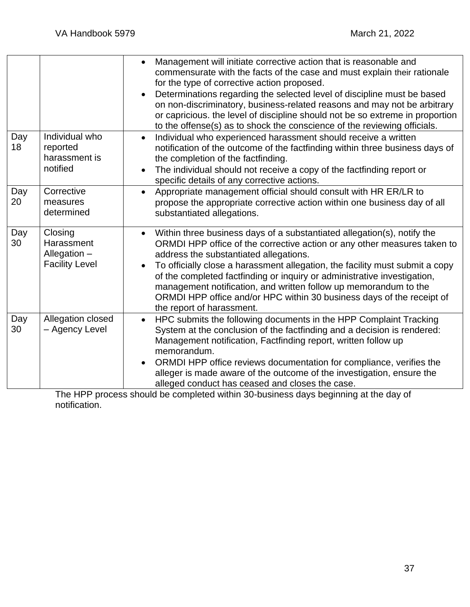|           |                                                                  | Management will initiate corrective action that is reasonable and<br>commensurate with the facts of the case and must explain their rationale<br>for the type of corrective action proposed.<br>Determinations regarding the selected level of discipline must be based<br>on non-discriminatory, business-related reasons and may not be arbitrary<br>or capricious. the level of discipline should not be so extreme in proportion<br>to the offense(s) as to shock the conscience of the reviewing officials.                    |
|-----------|------------------------------------------------------------------|-------------------------------------------------------------------------------------------------------------------------------------------------------------------------------------------------------------------------------------------------------------------------------------------------------------------------------------------------------------------------------------------------------------------------------------------------------------------------------------------------------------------------------------|
| Day<br>18 | Individual who<br>reported<br>harassment is<br>notified          | Individual who experienced harassment should receive a written<br>$\bullet$<br>notification of the outcome of the factfinding within three business days of<br>the completion of the factfinding.<br>The individual should not receive a copy of the factfinding report or<br>specific details of any corrective actions.                                                                                                                                                                                                           |
| Day<br>20 | Corrective<br>measures<br>determined                             | Appropriate management official should consult with HR ER/LR to<br>$\bullet$<br>propose the appropriate corrective action within one business day of all<br>substantiated allegations.                                                                                                                                                                                                                                                                                                                                              |
| Day<br>30 | Closing<br>Harassment<br>Allegation $-$<br><b>Facility Level</b> | Within three business days of a substantiated allegation(s), notify the<br>ORMDI HPP office of the corrective action or any other measures taken to<br>address the substantiated allegations.<br>To officially close a harassment allegation, the facility must submit a copy<br>of the completed factfinding or inquiry or administrative investigation,<br>management notification, and written follow up memorandum to the<br>ORMDI HPP office and/or HPC within 30 business days of the receipt of<br>the report of harassment. |
| Day<br>30 | Allegation closed<br>- Agency Level                              | HPC submits the following documents in the HPP Complaint Tracking<br>$\bullet$<br>System at the conclusion of the factfinding and a decision is rendered:<br>Management notification, Factfinding report, written follow up<br>memorandum.<br>ORMDI HPP office reviews documentation for compliance, verifies the<br>alleger is made aware of the outcome of the investigation, ensure the<br>alleged conduct has ceased and closes the case.                                                                                       |

The HPP process should be completed within 30-business days beginning at the day of notification.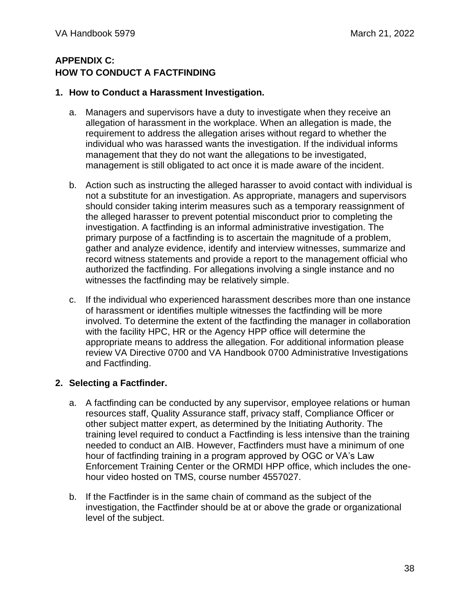### <span id="page-37-0"></span>**APPENDIX C: HOW TO CONDUCT A FACTFINDING**

#### **1. How to Conduct a Harassment Investigation.**

- a. Managers and supervisors have a duty to investigate when they receive an allegation of harassment in the workplace. When an allegation is made, the requirement to address the allegation arises without regard to whether the individual who was harassed wants the investigation. If the individual informs management that they do not want the allegations to be investigated, management is still obligated to act once it is made aware of the incident.
- b. Action such as instructing the alleged harasser to avoid contact with individual is not a substitute for an investigation. As appropriate, managers and supervisors should consider taking interim measures such as a temporary reassignment of the alleged harasser to prevent potential misconduct prior to completing the investigation. A factfinding is an informal administrative investigation. The primary purpose of a factfinding is to ascertain the magnitude of a problem, gather and analyze evidence, identify and interview witnesses, summarize and record witness statements and provide a report to the management official who authorized the factfinding. For allegations involving a single instance and no witnesses the factfinding may be relatively simple.
- c. If the individual who experienced harassment describes more than one instance of harassment or identifies multiple witnesses the factfinding will be more involved. To determine the extent of the factfinding the manager in collaboration with the facility HPC, HR or the Agency HPP office will determine the appropriate means to address the allegation. For additional information please review VA Directive 0700 and VA Handbook 0700 Administrative Investigations and Factfinding.

#### **2. Selecting a Factfinder.**

- a. A factfinding can be conducted by any supervisor, employee relations or human resources staff, Quality Assurance staff, privacy staff, Compliance Officer or other subject matter expert, as determined by the Initiating Authority. The training level required to conduct a Factfinding is less intensive than the training needed to conduct an AIB. However, Factfinders must have a minimum of one hour of factfinding training in a program approved by OGC or VA's Law Enforcement Training Center or the ORMDI HPP office, which includes the onehour video hosted on TMS, course number 4557027.
- b. If the Factfinder is in the same chain of command as the subject of the investigation, the Factfinder should be at or above the grade or organizational level of the subject.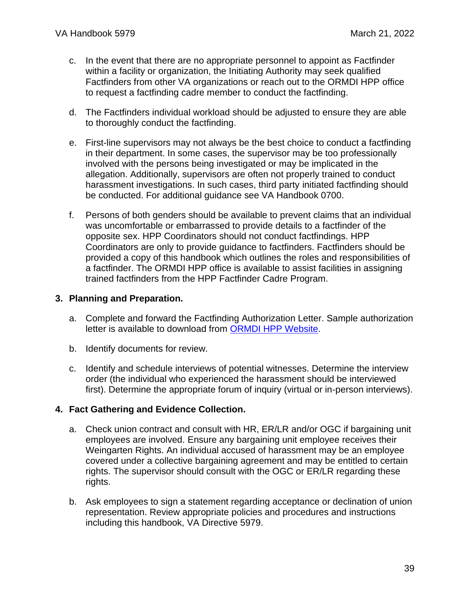- c. In the event that there are no appropriate personnel to appoint as Factfinder within a facility or organization, the Initiating Authority may seek qualified Factfinders from other VA organizations or reach out to the ORMDI HPP office to request a factfinding cadre member to conduct the factfinding.
- d. The Factfinders individual workload should be adjusted to ensure they are able to thoroughly conduct the factfinding.
- e. First-line supervisors may not always be the best choice to conduct a factfinding in their department. In some cases, the supervisor may be too professionally involved with the persons being investigated or may be implicated in the allegation. Additionally, supervisors are often not properly trained to conduct harassment investigations. In such cases, third party initiated factfinding should be conducted. For additional guidance see VA Handbook 0700.
- f. Persons of both genders should be available to prevent claims that an individual was uncomfortable or embarrassed to provide details to a factfinder of the opposite sex. HPP Coordinators should not conduct factfindings. HPP Coordinators are only to provide guidance to factfinders. Factfinders should be provided a copy of this handbook which outlines the roles and responsibilities of a factfinder. The ORMDI HPP office is available to assist facilities in assigning trained factfinders from the HPP Factfinder Cadre Program.

#### **3. Planning and Preparation.**

- a. Complete and forward the Factfinding Authorization Letter. Sample authorization letter is available to download from [ORMDI HPP Website.](https://www.va.gov/ORMDI/HPP.asp)
- b. Identify documents for review.
- c. Identify and schedule interviews of potential witnesses. Determine the interview order (the individual who experienced the harassment should be interviewed first). Determine the appropriate forum of inquiry (virtual or in-person interviews).

#### **4. Fact Gathering and Evidence Collection.**

- a. Check union contract and consult with HR, ER/LR and/or OGC if bargaining unit employees are involved. Ensure any bargaining unit employee receives their Weingarten Rights. An individual accused of harassment may be an employee covered under a collective bargaining agreement and may be entitled to certain rights. The supervisor should consult with the OGC or ER/LR regarding these rights.
- b. Ask employees to sign a statement regarding acceptance or declination of union representation. Review appropriate policies and procedures and instructions including this handbook, VA Directive 5979.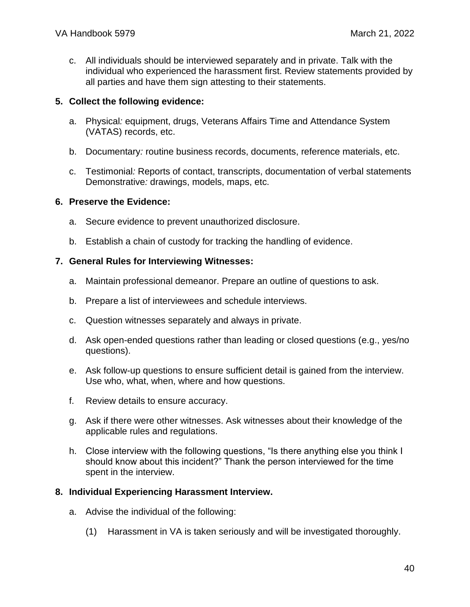c. All individuals should be interviewed separately and in private. Talk with the individual who experienced the harassment first. Review statements provided by all parties and have them sign attesting to their statements.

#### **5. Collect the following evidence:**

- a. Physical*:* equipment, drugs, Veterans Affairs Time and Attendance System (VATAS) records, etc.
- b. Documentary*:* routine business records, documents, reference materials, etc.
- c. Testimonial*:* Reports of contact, transcripts, documentation of verbal statements Demonstrative*:* drawings, models, maps, etc.

#### **6. Preserve the Evidence:**

- a. Secure evidence to prevent unauthorized disclosure.
- b. Establish a chain of custody for tracking the handling of evidence.

#### **7. General Rules for Interviewing Witnesses:**

- a. Maintain professional demeanor. Prepare an outline of questions to ask.
- b. Prepare a list of interviewees and schedule interviews.
- c. Question witnesses separately and always in private.
- d. Ask open-ended questions rather than leading or closed questions (e.g., yes/no questions).
- e. Ask follow-up questions to ensure sufficient detail is gained from the interview. Use who, what, when, where and how questions.
- f. Review details to ensure accuracy.
- g. Ask if there were other witnesses. Ask witnesses about their knowledge of the applicable rules and regulations.
- h. Close interview with the following questions, "Is there anything else you think I should know about this incident?" Thank the person interviewed for the time spent in the interview.

#### **8. Individual Experiencing Harassment Interview.**

- a. Advise the individual of the following:
	- (1) Harassment in VA is taken seriously and will be investigated thoroughly.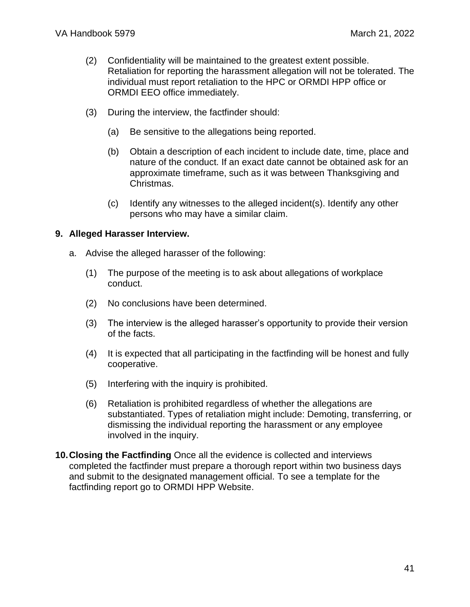- (2) Confidentiality will be maintained to the greatest extent possible. Retaliation for reporting the harassment allegation will not be tolerated. The individual must report retaliation to the HPC or ORMDI HPP office or ORMDI EEO office immediately.
- (3) During the interview, the factfinder should:
	- (a) Be sensitive to the allegations being reported.
	- (b) Obtain a description of each incident to include date, time, place and nature of the conduct. If an exact date cannot be obtained ask for an approximate timeframe, such as it was between Thanksgiving and Christmas.
	- (c) Identify any witnesses to the alleged incident(s). Identify any other persons who may have a similar claim.

#### **9. Alleged Harasser Interview.**

- a. Advise the alleged harasser of the following:
	- (1) The purpose of the meeting is to ask about allegations of workplace conduct.
	- (2) No conclusions have been determined.
	- (3) The interview is the alleged harasser's opportunity to provide their version of the facts.
	- (4) It is expected that all participating in the factfinding will be honest and fully cooperative.
	- (5) Interfering with the inquiry is prohibited.
	- (6) Retaliation is prohibited regardless of whether the allegations are substantiated. Types of retaliation might include: Demoting, transferring, or dismissing the individual reporting the harassment or any employee involved in the inquiry.
- **10.Closing the Factfinding** Once all the evidence is collected and interviews completed the factfinder must prepare a thorough report within two business days and submit to the designated management official. To see a template for the factfinding report go to [ORMDI HPP Website.](https://www.va.gov/ORMDI/HPP.asp)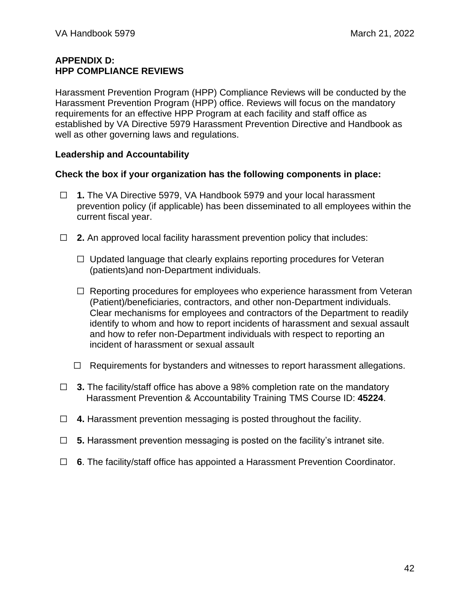#### <span id="page-41-0"></span>**APPENDIX D: HPP COMPLIANCE REVIEWS**

Harassment Prevention Program (HPP) Compliance Reviews will be conducted by the Harassment Prevention Program (HPP) office. Reviews will focus on the mandatory requirements for an effective HPP Program at each facility and staff office as established by VA Directive 5979 Harassment Prevention Directive and Handbook as well as other governing laws and regulations.

#### **Leadership and Accountability**

#### **Check the box if your organization has the following components in place:**

- ☐ **1.** The VA Directive 5979, VA Handbook 5979 and your local harassment prevention policy (if applicable) has been disseminated to all employees within the current fiscal year.
- ☐ **2.** An approved local facility harassment prevention policy that includes:
	- $\Box$  Updated language that clearly explains reporting procedures for Veteran (patients)and non-Department individuals.
	- $\Box$  Reporting procedures for employees who experience harassment from Veteran (Patient)/beneficiaries, contractors, and other non-Department individuals. Clear mechanisms for employees and contractors of the Department to readily identify to whom and how to report incidents of harassment and sexual assault and how to refer non-Department individuals with respect to reporting an incident of harassment or sexual assault
	- ☐ Requirements for bystanders and witnesses to report harassment allegations.
- ☐ **3.** The facility/staff office has above a 98% completion rate on the mandatory Harassment Prevention & Accountability Training TMS Course ID: **45224**.
- ☐ **4.** Harassment prevention messaging is posted throughout the facility.
- ☐ **5.** Harassment prevention messaging is posted on the facility's intranet site.
- ☐ **6**. The facility/staff office has appointed a Harassment Prevention Coordinator.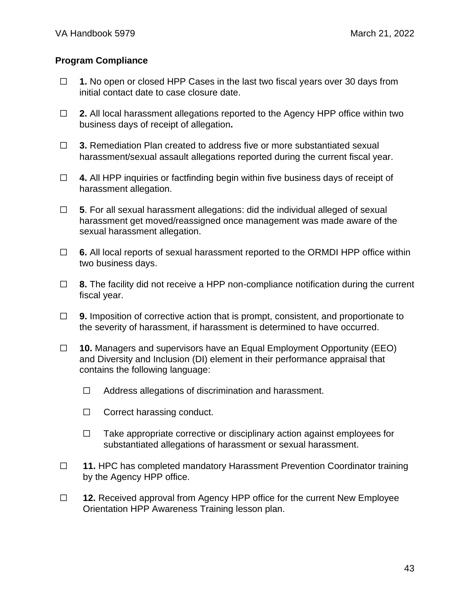#### **Program Compliance**

- ☐ **1.** No open or closed HPP Cases in the last two fiscal years over 30 days from initial contact date to case closure date.
- ☐ **2.** All local harassment allegations reported to the Agency HPP office within two business days of receipt of allegation**.**
- ☐ **3.** Remediation Plan created to address five or more substantiated sexual harassment/sexual assault allegations reported during the current fiscal year.
- ☐ **4.** All HPP inquiries or factfinding begin within five business days of receipt of harassment allegation.
- ☐ **5**. For all sexual harassment allegations: did the individual alleged of sexual harassment get moved/reassigned once management was made aware of the sexual harassment allegation.
- ☐ **6.** All local reports of sexual harassment reported to the ORMDI HPP office within two business days.
- ☐ **8.** The facility did not receive a HPP non-compliance notification during the current fiscal year.
- □ **9.** Imposition of corrective action that is prompt, consistent, and proportionate to the severity of harassment, if harassment is determined to have occurred.
- ☐ **10.** Managers and supervisors have an Equal Employment Opportunity (EEO) and Diversity and Inclusion (DI) element in their performance appraisal that contains the following language:
	- ☐ Address allegations of discrimination and harassment.
	- ☐ Correct harassing conduct.
	- ☐ Take appropriate corrective or disciplinary action against employees for substantiated allegations of harassment or sexual harassment.
- ☐ **11.** HPC has completed mandatory Harassment Prevention Coordinator training by the Agency HPP office.
- ☐ **12.** Received approval from Agency HPP office for the current New Employee Orientation HPP Awareness Training lesson plan.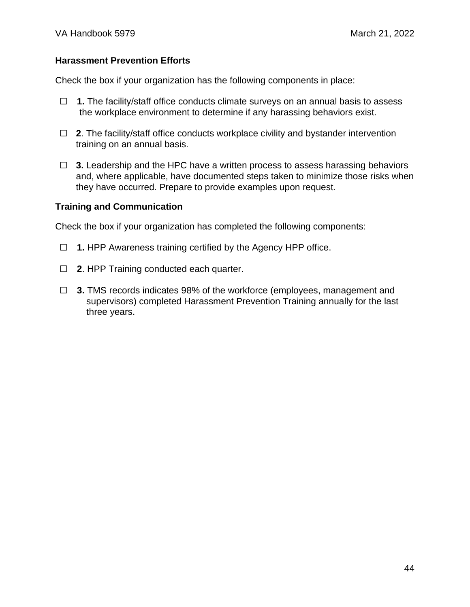#### **Harassment Prevention Efforts**

Check the box if your organization has the following components in place:

- ☐ **1.** The facility/staff office conducts climate surveys on an annual basis to assess the workplace environment to determine if any harassing behaviors exist.
- □ 2. The facility/staff office conducts workplace civility and bystander intervention training on an annual basis.
- ☐ **3.** Leadership and the HPC have a written process to assess harassing behaviors and, where applicable, have documented steps taken to minimize those risks when they have occurred. Prepare to provide examples upon request.

#### **Training and Communication**

Check the box if your organization has completed the following components:

- ☐ **1.** HPP Awareness training certified by the Agency HPP office.
- ☐ **2**. HPP Training conducted each quarter.
- ☐ **3.** TMS records indicates 98% of the workforce (employees, management and supervisors) completed Harassment Prevention Training annually for the last three years.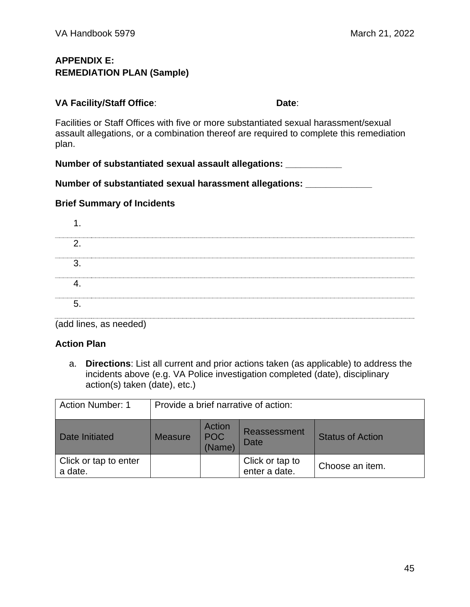### <span id="page-44-0"></span>**APPENDIX E: REMEDIATION PLAN (Sample)**

**VA Facility/Staff Office: Date: Date: Date:** 

Facilities or Staff Offices with five or more substantiated sexual harassment/sexual assault allegations, or a combination thereof are required to complete this remediation plan.

**Number of substantiated sexual assault allegations: \_\_\_\_\_\_\_\_\_\_\_**

**Number of substantiated sexual harassment allegations: \_\_\_\_\_\_\_\_\_\_\_\_\_**

### **Brief Summary of Incidents**

| . .     |  |
|---------|--|
| ⌒       |  |
| ົ       |  |
|         |  |
| -<br>'n |  |

(add lines, as needed)

### **Action Plan**

a. **Directions**: List all current and prior actions taken (as applicable) to address the incidents above (e.g. VA Police investigation completed (date), disciplinary action(s) taken (date), etc.)

| <b>Action Number: 1</b>          | Provide a brief narrative of action: |                                |                                    |                         |
|----------------------------------|--------------------------------------|--------------------------------|------------------------------------|-------------------------|
| Date Initiated                   | <b>Measure</b>                       | Action<br><b>POC</b><br>(Name) | <b>Reassessment</b><br><b>Date</b> | <b>Status of Action</b> |
| Click or tap to enter<br>a date. |                                      |                                | Click or tap to<br>enter a date.   | Choose an item.         |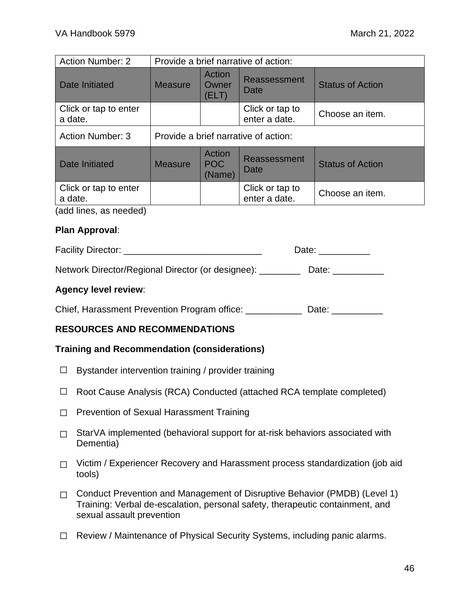| <b>Action Number: 2</b>          | Provide a brief narrative of action: |                          |                                  |                         |  |
|----------------------------------|--------------------------------------|--------------------------|----------------------------------|-------------------------|--|
| Date Initiated                   | <b>Measure</b>                       | Action<br>Owner<br>(ELT) | <b>Reassessment</b><br>Date      | <b>Status of Action</b> |  |
| Click or tap to enter<br>a date. |                                      |                          | Click or tap to<br>enter a date. | Choose an item.         |  |
| <b>Action Number: 3</b>          | Provide a brief narrative of action: |                          |                                  |                         |  |
| <b>Date Initiated</b>            | <b>Measure</b>                       | Action<br>POC<br>(Name)  | Reassessment<br>Date             | <b>Status of Action</b> |  |
| Click or tap to enter<br>a date. |                                      |                          | Click or tap to<br>enter a date. | Choose an item.         |  |
| (odd linear condition)           |                                      |                          |                                  |                         |  |

(add lines, as needed)

#### **Plan Approval**:

| <b>Facility Director:</b> |  |
|---------------------------|--|
|---------------------------|--|

Network Director/Regional Director (or designee): Date:

#### **Agency level review**:

Chief, Harassment Prevention Program office: \_\_\_\_\_\_\_\_\_\_\_\_ Date: \_\_\_\_\_\_\_\_\_\_\_

### **RESOURCES AND RECOMMENDATIONS**

#### **Training and Recommendation (considerations)**

- $\Box$  Bystander intervention training / provider training
- ☐ Root Cause Analysis (RCA) Conducted (attached RCA template completed)
- ☐ Prevention of Sexual Harassment Training
- □ StarVA implemented (behavioral support for at-risk behaviors associated with Dementia)
- □ Victim / Experiencer Recovery and Harassment process standardization (job aid tools)
- ☐ Conduct Prevention and Management of Disruptive Behavior (PMDB) (Level 1) Training: Verbal de-escalation, personal safety, therapeutic containment, and sexual assault prevention
- ☐ Review / Maintenance of Physical Security Systems, including panic alarms.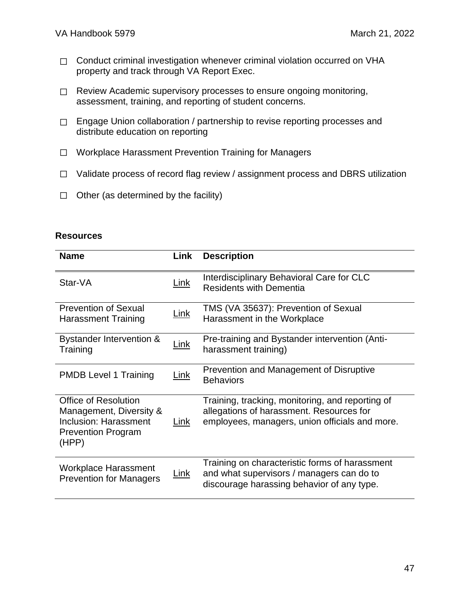- □ Conduct criminal investigation whenever criminal violation occurred on VHA property and track through VA Report Exec.
- □ Review Academic supervisory processes to ensure ongoing monitoring, assessment, training, and reporting of student concerns.
- □ Engage Union collaboration / partnership to revise reporting processes and distribute education on reporting
- ☐ Workplace Harassment Prevention Training for Managers
- ☐ Validate process of record flag review / assignment process and DBRS utilization
- $\Box$  Other (as determined by the facility)

#### **Resources**

| <b>Name</b>                                                                                                           | Link        | <b>Description</b>                                                                                                                             |
|-----------------------------------------------------------------------------------------------------------------------|-------------|------------------------------------------------------------------------------------------------------------------------------------------------|
| Star-VA                                                                                                               | <u>Link</u> | Interdisciplinary Behavioral Care for CLC<br><b>Residents with Dementia</b>                                                                    |
| <b>Prevention of Sexual</b><br><b>Harassment Training</b>                                                             | <u>Link</u> | TMS (VA 35637): Prevention of Sexual<br>Harassment in the Workplace                                                                            |
| Bystander Intervention &<br>Training                                                                                  | <u>Link</u> | Pre-training and Bystander intervention (Anti-<br>harassment training)                                                                         |
| <b>PMDB Level 1 Training</b>                                                                                          | <u>Link</u> | Prevention and Management of Disruptive<br><b>Behaviors</b>                                                                                    |
| <b>Office of Resolution</b><br>Management, Diversity &<br>Inclusion: Harassment<br><b>Prevention Program</b><br>(HPP) | Link        | Training, tracking, monitoring, and reporting of<br>allegations of harassment. Resources for<br>employees, managers, union officials and more. |
| Workplace Harassment<br><b>Prevention for Managers</b>                                                                | <u>Link</u> | Training on characteristic forms of harassment<br>and what supervisors / managers can do to<br>discourage harassing behavior of any type.      |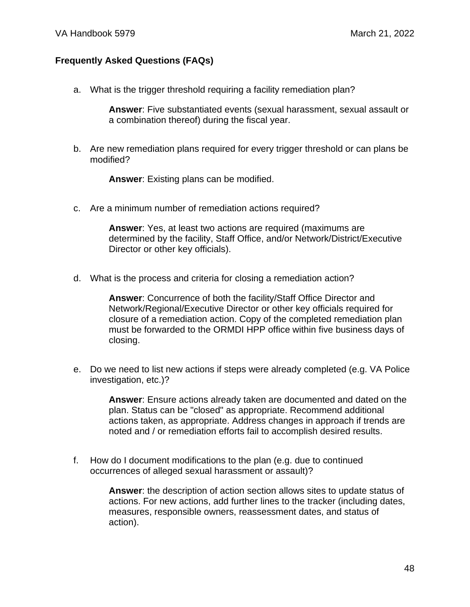#### **Frequently Asked Questions (FAQs)**

a. What is the trigger threshold requiring a facility remediation plan?

**Answer**: Five substantiated events (sexual harassment, sexual assault or a combination thereof) during the fiscal year.

b. Are new remediation plans required for every trigger threshold or can plans be modified?

**Answer**: Existing plans can be modified.

c. Are a minimum number of remediation actions required?

**Answer**: Yes, at least two actions are required (maximums are determined by the facility, Staff Office, and/or Network/District/Executive Director or other key officials).

d. What is the process and criteria for closing a remediation action?

**Answer**: Concurrence of both the facility/Staff Office Director and Network/Regional/Executive Director or other key officials required for closure of a remediation action. Copy of the completed remediation plan must be forwarded to the ORMDI HPP office within five business days of closing.

e. Do we need to list new actions if steps were already completed (e.g. VA Police investigation, etc.)?

> **Answer**: Ensure actions already taken are documented and dated on the plan. Status can be "closed" as appropriate. Recommend additional actions taken, as appropriate. Address changes in approach if trends are noted and / or remediation efforts fail to accomplish desired results.

f. How do I document modifications to the plan (e.g. due to continued occurrences of alleged sexual harassment or assault)?

> **Answer**: the description of action section allows sites to update status of actions. For new actions, add further lines to the tracker (including dates, measures, responsible owners, reassessment dates, and status of action).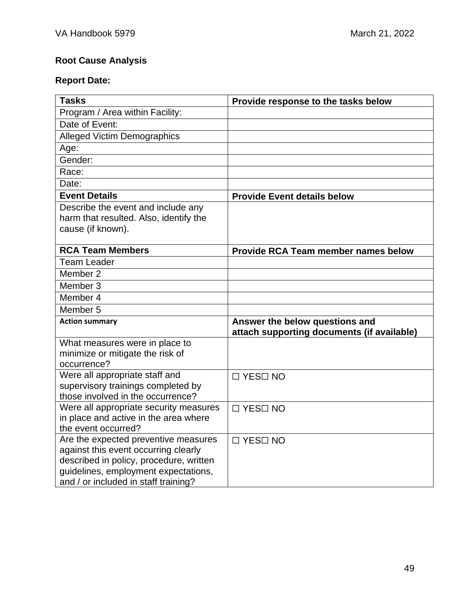# **Root Cause Analysis**

# **Report Date:**

| <b>Tasks</b>                                                                    | Provide response to the tasks below                                          |
|---------------------------------------------------------------------------------|------------------------------------------------------------------------------|
| Program / Area within Facility:                                                 |                                                                              |
| Date of Event:                                                                  |                                                                              |
| <b>Alleged Victim Demographics</b>                                              |                                                                              |
| Age:                                                                            |                                                                              |
| Gender:                                                                         |                                                                              |
| Race:                                                                           |                                                                              |
| Date:                                                                           |                                                                              |
| <b>Event Details</b>                                                            | <b>Provide Event details below</b>                                           |
| Describe the event and include any                                              |                                                                              |
| harm that resulted. Also, identify the                                          |                                                                              |
| cause (if known).                                                               |                                                                              |
| <b>RCA Team Members</b>                                                         |                                                                              |
|                                                                                 | <b>Provide RCA Team member names below</b>                                   |
| <b>Team Leader</b>                                                              |                                                                              |
| Member 2                                                                        |                                                                              |
| Member 3                                                                        |                                                                              |
| Member 4                                                                        |                                                                              |
| Member 5                                                                        |                                                                              |
| <b>Action summary</b>                                                           | Answer the below questions and<br>attach supporting documents (if available) |
| What measures were in place to                                                  |                                                                              |
| minimize or mitigate the risk of                                                |                                                                              |
| occurrence?                                                                     |                                                                              |
| Were all appropriate staff and                                                  | □ YES□ NO                                                                    |
| supervisory trainings completed by                                              |                                                                              |
| those involved in the occurrence?                                               |                                                                              |
| Were all appropriate security measures<br>in place and active in the area where | $\Box$ YES $\Box$ NO                                                         |
| the event occurred?                                                             |                                                                              |
| Are the expected preventive measures                                            | $\Box$ YES $\Box$ NO                                                         |
| against this event occurring clearly                                            |                                                                              |
| described in policy, procedure, written                                         |                                                                              |
| guidelines, employment expectations,                                            |                                                                              |
| and / or included in staff training?                                            |                                                                              |